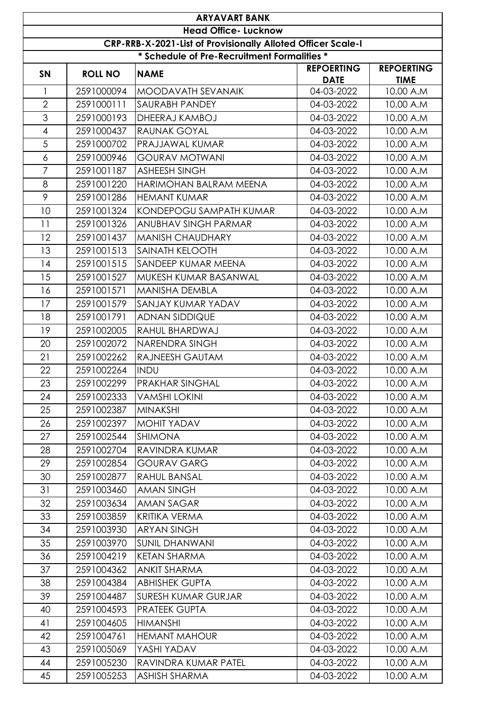|                | <b>ARYAVART BANK</b>                                         |                                             |                                  |                                  |  |  |  |
|----------------|--------------------------------------------------------------|---------------------------------------------|----------------------------------|----------------------------------|--|--|--|
|                | <b>Head Office- Lucknow</b>                                  |                                             |                                  |                                  |  |  |  |
|                | CRP-RRB-X-2021-List of Provisionally Alloted Officer Scale-I |                                             |                                  |                                  |  |  |  |
|                |                                                              | * Schedule of Pre-Recruitment Formalities * |                                  |                                  |  |  |  |
| <b>SN</b>      | <b>ROLL NO</b>                                               | <b>NAME</b>                                 | <b>REPOERTING</b><br><b>DATE</b> | <b>REPOERTING</b><br><b>TIME</b> |  |  |  |
| $\mathbf{1}$   | 2591000094                                                   | MOODAVATH SEVANAIK                          | 04-03-2022                       | 10.00 A.M                        |  |  |  |
| $\overline{2}$ | 2591000111                                                   | <b>SAURABH PANDEY</b>                       | 04-03-2022                       | 10.00 A.M                        |  |  |  |
| 3              | 2591000193                                                   | DHEERAJ KAMBOJ                              | 04-03-2022                       | 10.00 A.M                        |  |  |  |
| $\overline{4}$ | 2591000437                                                   | <b>RAUNAK GOYAL</b>                         | 04-03-2022                       | 10.00 A.M                        |  |  |  |
| $\overline{5}$ | 2591000702                                                   | PRAJJAWAL KUMAR                             | 04-03-2022                       | 10.00 A.M                        |  |  |  |
| $\epsilon$     | 2591000946                                                   | <b>GOURAV MOTWANI</b>                       | 04-03-2022                       | 10.00 A.M                        |  |  |  |
| $\overline{7}$ | 2591001187                                                   | <b>ASHEESH SINGH</b>                        | 04-03-2022                       | 10.00 A.M                        |  |  |  |
| 8              | 2591001220                                                   | HARIMOHAN BALRAM MEENA                      | 04-03-2022                       | 10.00 A.M                        |  |  |  |
| 9              | 2591001286                                                   | <b>HEMANT KUMAR</b>                         | 04-03-2022                       | 10.00 A.M                        |  |  |  |
| 10             | 2591001324                                                   | KONDEPOGU SAMPATH KUMAR                     | 04-03-2022                       | 10.00 A.M                        |  |  |  |
| 11             | 2591001326                                                   | <b>ANUBHAV SINGH PARMAR</b>                 | 04-03-2022                       | 10.00 A.M                        |  |  |  |
| 12             | 2591001437                                                   | <b>MANISH CHAUDHARY</b>                     | 04-03-2022                       | 10.00 A.M                        |  |  |  |
| 13             | 2591001513                                                   | <b>SAINATH KELOOTH</b>                      | 04-03-2022                       | 10.00 A.M                        |  |  |  |
| 14             | 2591001515                                                   | <b>SANDEEP KUMAR MEENA</b>                  | 04-03-2022                       | 10.00 A.M                        |  |  |  |
| 15             | 2591001527                                                   | MUKESH KUMAR BASANWAL                       | 04-03-2022                       | 10.00 A.M                        |  |  |  |
| 16             | 2591001571                                                   | <b>MANISHA DEMBLA</b>                       | 04-03-2022                       | 10.00 A.M                        |  |  |  |
| 17             | 2591001579                                                   | <b>SANJAY KUMAR YADAV</b>                   | 04-03-2022                       | 10.00 A.M                        |  |  |  |
| 18             | 2591001791                                                   | <b>ADNAN SIDDIQUE</b>                       | 04-03-2022                       | 10.00 A.M                        |  |  |  |
| 19             | 2591002005                                                   | RAHUL BHARDWAJ                              | 04-03-2022                       | 10.00 A.M                        |  |  |  |
| 20             | 2591002072                                                   | NARENDRA SINGH                              | 04-03-2022                       | 10.00 A.M                        |  |  |  |
| 21             | 2591002262                                                   | <b>RAJNEESH GAUTAM</b>                      | 04-03-2022                       | 10.00 A.M                        |  |  |  |
| 22             | 2591002264                                                   | <b>INDU</b>                                 | 04-03-2022                       | 10.00 A.M                        |  |  |  |
| 23             | 2591002299                                                   | <b>PRAKHAR SINGHAL</b>                      | 04-03-2022                       | 10.00 A.M                        |  |  |  |
| 24             | 2591002333                                                   | <b>VAMSHI LOKINI</b>                        | 04-03-2022                       | 10.00 A.M                        |  |  |  |
| 25             | 2591002387                                                   | <b>MINAKSHI</b>                             | 04-03-2022                       | 10.00 A.M                        |  |  |  |
| 26             | 2591002397                                                   | MOHIT YADAV                                 | 04-03-2022                       | 10.00 A.M                        |  |  |  |
| 27             | 2591002544                                                   | <b>SHIMONA</b>                              | 04-03-2022                       | 10.00 A.M                        |  |  |  |
| 28             | 2591002704                                                   | RAVINDRA KUMAR                              | 04-03-2022                       | 10.00 A.M                        |  |  |  |
| 29             | 2591002854                                                   | <b>GOURAV GARG</b>                          | 04-03-2022                       | 10.00 A.M                        |  |  |  |
| 30             | 2591002877                                                   | <b>RAHUL BANSAL</b>                         | 04-03-2022                       | 10.00 A.M                        |  |  |  |
| 31             | 2591003460                                                   | <b>AMAN SINGH</b>                           | 04-03-2022                       | 10.00 A.M                        |  |  |  |
| 32             | 2591003634                                                   | <b>AMAN SAGAR</b>                           | 04-03-2022                       | 10.00 A.M                        |  |  |  |
| 33             | 2591003859                                                   | <b>KRITIKA VERMA</b>                        | 04-03-2022                       | 10.00 A.M                        |  |  |  |
| 34             | 2591003930                                                   | <b>ARYAN SINGH</b>                          | 04-03-2022                       | 10.00 A.M                        |  |  |  |
| 35             | 2591003970                                                   | <b>SUNIL DHANWANI</b>                       | 04-03-2022                       | 10.00 A.M                        |  |  |  |
| 36             | 2591004219                                                   | <b>KETAN SHARMA</b>                         | 04-03-2022                       | 10.00 A.M                        |  |  |  |
| 37             | 2591004362                                                   | <b>ANKIT SHARMA</b>                         | 04-03-2022                       | 10.00 A.M                        |  |  |  |
| 38             | 2591004384                                                   | <b>ABHISHEK GUPTA</b>                       | 04-03-2022                       | 10.00 A.M                        |  |  |  |
| 39             | 2591004487                                                   | <b>SURESH KUMAR GURJAR</b>                  | 04-03-2022                       | 10.00 A.M                        |  |  |  |
| 40             | 2591004593                                                   | <b>PRATEEK GUPTA</b>                        | 04-03-2022                       | 10.00 A.M                        |  |  |  |
| 41             | 2591004605                                                   | <b>HIMANSHI</b>                             | 04-03-2022                       | 10.00 A.M                        |  |  |  |
| 42             | 2591004761                                                   | <b>HEMANT MAHOUR</b>                        | 04-03-2022                       | 10.00 A.M                        |  |  |  |
| 43             | 2591005069                                                   | YASHI YADAV                                 | 04-03-2022                       | 10.00 A.M                        |  |  |  |
| 44             | 2591005230                                                   | RAVINDRA KUMAR PATEL                        | 04-03-2022                       | 10.00 A.M                        |  |  |  |
| 45             | 2591005253                                                   | <b>ASHISH SHARMA</b>                        | 04-03-2022                       | 10.00 A.M                        |  |  |  |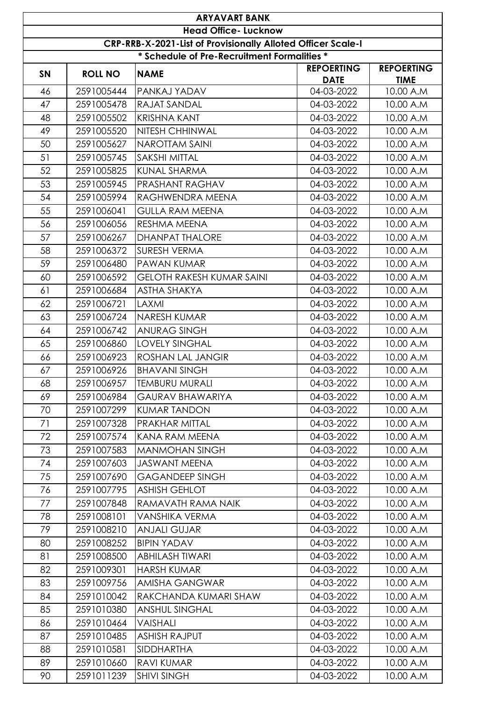|           | <b>ARYAVART BANK</b>                                         |                                             |                                  |                                  |  |  |  |
|-----------|--------------------------------------------------------------|---------------------------------------------|----------------------------------|----------------------------------|--|--|--|
|           | <b>Head Office- Lucknow</b>                                  |                                             |                                  |                                  |  |  |  |
|           | CRP-RRB-X-2021-List of Provisionally Alloted Officer Scale-I |                                             |                                  |                                  |  |  |  |
|           |                                                              | * Schedule of Pre-Recruitment Formalities * |                                  |                                  |  |  |  |
| <b>SN</b> | <b>ROLL NO</b>                                               | <b>NAME</b>                                 | <b>REPOERTING</b><br><b>DATE</b> | <b>REPOERTING</b><br><b>TIME</b> |  |  |  |
| 46        | 2591005444                                                   | PANKAJ YADAV                                | 04-03-2022                       | 10.00 A.M                        |  |  |  |
| 47        | 2591005478                                                   | RAJAT SANDAL                                | 04-03-2022                       | 10.00 A.M                        |  |  |  |
| 48        | 2591005502                                                   | <b>KRISHNA KANT</b>                         | 04-03-2022                       | 10.00 A.M                        |  |  |  |
| 49        | 2591005520                                                   | <b>NITESH CHHINWAL</b>                      | 04-03-2022                       | 10.00 A.M                        |  |  |  |
| 50        | 2591005627                                                   | <b>NAROTTAM SAINI</b>                       | 04-03-2022                       | 10.00 A.M                        |  |  |  |
| 51        | 2591005745                                                   | <b>SAKSHI MITTAL</b>                        | 04-03-2022                       | 10.00 A.M                        |  |  |  |
| 52        | 2591005825                                                   | <b>KUNAL SHARMA</b>                         | 04-03-2022                       | 10.00 A.M                        |  |  |  |
| 53        | 2591005945                                                   | <b>PRASHANT RAGHAV</b>                      | 04-03-2022                       | 10.00 A.M                        |  |  |  |
| 54        | 2591005994                                                   | RAGHWENDRA MEENA                            | 04-03-2022                       | 10.00 A.M                        |  |  |  |
| 55        | 2591006041                                                   | <b>GULLA RAM MEENA</b>                      | 04-03-2022                       | 10.00 A.M                        |  |  |  |
| 56        | 2591006056                                                   | <b>RESHMA MEENA</b>                         | 04-03-2022                       | 10.00 A.M                        |  |  |  |
| 57        | 2591006267                                                   | <b>DHANPAT THALORE</b>                      | 04-03-2022                       | 10.00 A.M                        |  |  |  |
| 58        | 2591006372                                                   | <b>SURESH VERMA</b>                         | 04-03-2022                       | 10.00 A.M                        |  |  |  |
| 59        | 2591006480                                                   | <b>PAWAN KUMAR</b>                          | 04-03-2022                       | 10.00 A.M                        |  |  |  |
| 60        | 2591006592                                                   | <b>GELOTH RAKESH KUMAR SAINI</b>            | 04-03-2022                       | 10.00 A.M                        |  |  |  |
| 61        | 2591006684                                                   | <b>ASTHA SHAKYA</b>                         | 04-03-2022                       | 10.00 A.M                        |  |  |  |
| 62        | 2591006721                                                   | LAXMI                                       | 04-03-2022                       | 10.00 A.M                        |  |  |  |
| 63        | 2591006724                                                   | <b>NARESH KUMAR</b>                         | 04-03-2022                       | 10.00 A.M                        |  |  |  |
| 64        | 2591006742                                                   | <b>ANURAG SINGH</b>                         | 04-03-2022                       | 10.00 A.M                        |  |  |  |
| 65        | 2591006860                                                   | <b>LOVELY SINGHAL</b>                       | 04-03-2022                       | 10.00 A.M                        |  |  |  |
| 66        | 2591006923                                                   | <b>ROSHAN LAL JANGIR</b>                    | 04-03-2022                       | 10.00 A.M                        |  |  |  |
| 67        | 2591006926                                                   | <b>BHAVANI SINGH</b>                        | 04-03-2022                       | 10.00 A.M                        |  |  |  |
| 68        | 2591006957                                                   | <b>TEMBURU MURALI</b>                       | 04-03-2022                       | 10.00 A.M                        |  |  |  |
| 69        | 2591006984                                                   | <b>GAURAV BHAWARIYA</b>                     | 04-03-2022                       | 10.00 A.M                        |  |  |  |
| 70        | 2591007299                                                   | <b>KUMAR TANDON</b>                         | 04-03-2022                       | 10.00 A.M                        |  |  |  |
| 71        | 2591007328                                                   | <b>PRAKHAR MITTAL</b>                       | 04-03-2022                       | 10.00 A.M                        |  |  |  |
| 72        | 2591007574                                                   | KANA RAM MEENA                              | 04-03-2022                       | 10.00 A.M                        |  |  |  |
| 73        | 2591007583                                                   | <b>MANMOHAN SINGH</b>                       | 04-03-2022                       | 10.00 A.M                        |  |  |  |
| 74        | 2591007603                                                   | <b>JASWANT MEENA</b>                        | 04-03-2022                       | 10.00 A.M                        |  |  |  |
| 75        | 2591007690                                                   | <b>GAGANDEEP SINGH</b>                      | 04-03-2022                       | 10.00 A.M                        |  |  |  |
| 76        | 2591007795                                                   | <b>ASHISH GEHLOT</b>                        | 04-03-2022                       | 10.00 A.M                        |  |  |  |
| 77        | 2591007848                                                   | RAMAVATH RAMA NAIK                          | 04-03-2022                       | 10.00 A.M                        |  |  |  |
| 78        | 2591008101                                                   | <b>VANSHIKA VERMA</b>                       | 04-03-2022                       | 10.00 A.M                        |  |  |  |
| 79        | 2591008210                                                   | <b>ANJALI GUJAR</b>                         | 04-03-2022                       | 10.00 A.M                        |  |  |  |
| 80        | 2591008252                                                   | <b>BIPIN YADAV</b>                          | 04-03-2022                       | 10.00 A.M                        |  |  |  |
| 81        | 2591008500                                                   | <b>ABHILASH TIWARI</b>                      | 04-03-2022                       | 10.00 A.M                        |  |  |  |
| 82        | 2591009301                                                   | <b>HARSH KUMAR</b>                          | 04-03-2022                       | 10.00 A.M                        |  |  |  |
| 83        | 2591009756                                                   | <b>AMISHA GANGWAR</b>                       | 04-03-2022                       | 10.00 A.M                        |  |  |  |
| 84        | 2591010042                                                   | RAKCHANDA KUMARI SHAW                       | 04-03-2022                       | 10.00 A.M                        |  |  |  |
| 85        | 2591010380                                                   | <b>ANSHUL SINGHAL</b>                       | 04-03-2022                       | 10.00 A.M                        |  |  |  |
| 86        | 2591010464                                                   | VAISHALI                                    | 04-03-2022                       | 10.00 A.M                        |  |  |  |
| 87        | 2591010485                                                   | <b>ASHISH RAJPUT</b>                        | 04-03-2022                       | 10.00 A.M                        |  |  |  |
| 88        | 2591010581                                                   | <b>SIDDHARTHA</b>                           | 04-03-2022                       | 10.00 A.M                        |  |  |  |
| 89        | 2591010660                                                   | <b>RAVI KUMAR</b>                           | 04-03-2022                       | 10.00 A.M                        |  |  |  |
| 90        | 2591011239                                                   | <b>SHIVI SINGH</b>                          | 04-03-2022                       | 10.00 A.M                        |  |  |  |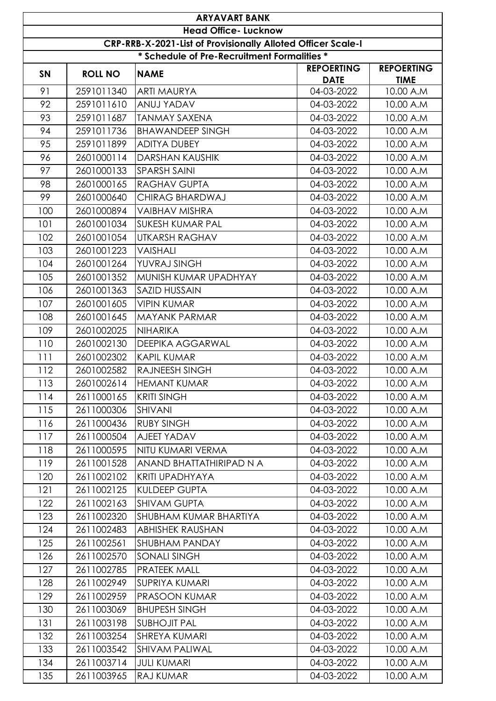|           | <b>ARYAVART BANK</b>                                         |                                             |                                  |                                  |  |  |
|-----------|--------------------------------------------------------------|---------------------------------------------|----------------------------------|----------------------------------|--|--|
|           | <b>Head Office- Lucknow</b>                                  |                                             |                                  |                                  |  |  |
|           | CRP-RRB-X-2021-List of Provisionally Alloted Officer Scale-I |                                             |                                  |                                  |  |  |
|           |                                                              | * Schedule of Pre-Recruitment Formalities * |                                  |                                  |  |  |
| <b>SN</b> | <b>ROLL NO</b>                                               | <b>NAME</b>                                 | <b>REPOERTING</b><br><b>DATE</b> | <b>REPOERTING</b><br><b>TIME</b> |  |  |
| 91        | 2591011340                                                   | <b>ARTI MAURYA</b>                          | 04-03-2022                       | 10.00 A.M                        |  |  |
| 92        | 2591011610                                                   | ANUJ YADAV                                  | 04-03-2022                       | 10.00 A.M                        |  |  |
| 93        | 2591011687                                                   | <b>TANMAY SAXENA</b>                        | 04-03-2022                       | 10.00 A.M                        |  |  |
| 94        | 2591011736                                                   | <b>BHAWANDEEP SINGH</b>                     | 04-03-2022                       | 10.00 A.M                        |  |  |
| 95        | 2591011899                                                   | <b>ADITYA DUBEY</b>                         | 04-03-2022                       | 10.00 A.M                        |  |  |
| 96        | 2601000114                                                   | <b>DARSHAN KAUSHIK</b>                      | 04-03-2022                       | 10.00 A.M                        |  |  |
| 97        | 2601000133                                                   | <b>SPARSH SAINI</b>                         | 04-03-2022                       | 10.00 A.M                        |  |  |
| 98        | 2601000165                                                   | <b>RAGHAV GUPTA</b>                         | 04-03-2022                       | 10.00 A.M                        |  |  |
| 99        | 2601000640                                                   | CHIRAG BHARDWAJ                             | 04-03-2022                       | 10.00 A.M                        |  |  |
| 100       | 2601000894                                                   | <b>VAIBHAV MISHRA</b>                       | 04-03-2022                       | 10.00 A.M                        |  |  |
| 101       | 2601001034                                                   | <b>SUKESH KUMAR PAL</b>                     | 04-03-2022                       | 10.00 A.M                        |  |  |
| 102       | 2601001054                                                   | <b>UTKARSH RAGHAV</b>                       | 04-03-2022                       | 10.00 A.M                        |  |  |
| 103       | 2601001223                                                   | VAISHALI                                    | 04-03-2022                       | 10.00 A.M                        |  |  |
| 104       | 2601001264                                                   | YUVRAJ SINGH                                | 04-03-2022                       | 10.00 A.M                        |  |  |
| 105       | 2601001352                                                   | MUNISH KUMAR UPADHYAY                       | 04-03-2022                       | 10.00 A.M                        |  |  |
| 106       | 2601001363                                                   | <b>SAZID HUSSAIN</b>                        | 04-03-2022                       | 10.00 A.M                        |  |  |
| 107       | 2601001605                                                   | <b>VIPIN KUMAR</b>                          | 04-03-2022                       | 10.00 A.M                        |  |  |
| 108       | 2601001645                                                   | <b>MAYANK PARMAR</b>                        | 04-03-2022                       | 10.00 A.M                        |  |  |
| 109       | 2601002025                                                   | <b>NIHARIKA</b>                             | 04-03-2022                       | 10.00 A.M                        |  |  |
| 110       | 2601002130                                                   | <b>DEEPIKA AGGARWAL</b>                     | 04-03-2022                       | 10.00 A.M                        |  |  |
| 111       | 2601002302                                                   | <b>KAPIL KUMAR</b>                          | 04-03-2022                       | 10.00 A.M                        |  |  |
| 112       | 2601002582                                                   | <b>RAJNEESH SINGH</b>                       | 04-03-2022                       | 10.00 A.M                        |  |  |
| 113       | 2601002614                                                   | <b>HEMANT KUMAR</b>                         | 04-03-2022                       | 10.00 A.M                        |  |  |
| 114       | 2611000165                                                   | <b>KRITI SINGH</b>                          | 04-03-2022                       | 10.00 A.M                        |  |  |
| 115       | 2611000306                                                   | SHIVANI                                     | 04-03-2022                       | 10.00 A.M                        |  |  |
| 116       | 2611000436                                                   | <b>RUBY SINGH</b>                           | 04-03-2022                       | 10.00 A.M                        |  |  |
| 117       | 2611000504                                                   | AJEET YADAV                                 | 04-03-2022                       | 10.00 A.M                        |  |  |
| 118       | 2611000595                                                   | NITU KUMARI VERMA                           | 04-03-2022                       | 10.00 A.M                        |  |  |
| 119       | 2611001528                                                   | ANAND BHATTATHIRIPAD N A                    | 04-03-2022                       | 10.00 A.M                        |  |  |
| 120       | 2611002102                                                   | <b>KRITI UPADHYAYA</b>                      | 04-03-2022                       | 10.00 A.M                        |  |  |
| 121       | 2611002125                                                   | <b>KULDEEP GUPTA</b>                        | 04-03-2022                       | 10.00 A.M                        |  |  |
| 122       | 2611002163                                                   | <b>SHIVAM GUPTA</b>                         | 04-03-2022                       | 10.00 A.M                        |  |  |
| 123       | 2611002320                                                   | <b>SHUBHAM KUMAR BHARTIYA</b>               | 04-03-2022                       | 10.00 A.M                        |  |  |
| 124       | 2611002483                                                   | <b>ABHISHEK RAUSHAN</b>                     | 04-03-2022                       | 10.00 A.M                        |  |  |
| 125       | 2611002561                                                   | SHUBHAM PANDAY                              | 04-03-2022                       | 10.00 A.M                        |  |  |
| 126       | 2611002570                                                   | <b>SONALI SINGH</b>                         | 04-03-2022                       | 10.00 A.M                        |  |  |
| 127       | 2611002785                                                   | <b>PRATEEK MALL</b>                         | 04-03-2022                       | 10.00 A.M                        |  |  |
| 128       | 2611002949                                                   | <b>SUPRIYA KUMARI</b>                       | 04-03-2022                       | 10.00 A.M                        |  |  |
| 129       | 2611002959                                                   | <b>PRASOON KUMAR</b>                        | 04-03-2022                       | 10.00 A.M                        |  |  |
| 130       | 2611003069                                                   | <b>BHUPESH SINGH</b>                        | 04-03-2022                       | 10.00 A.M                        |  |  |
| 131       | 2611003198                                                   | <b>SUBHOJIT PAL</b>                         | 04-03-2022                       | 10.00 A.M                        |  |  |
| 132       | 2611003254                                                   | <b>SHREYA KUMARI</b>                        | 04-03-2022                       | 10.00 A.M                        |  |  |
| 133       | 2611003542                                                   | <b>SHIVAM PALIWAL</b>                       | 04-03-2022                       | 10.00 A.M                        |  |  |
| 134       | 2611003714                                                   | <b>JULI KUMARI</b>                          | 04-03-2022                       | 10.00 A.M                        |  |  |
| 135       | 2611003965                                                   | <b>RAJ KUMAR</b>                            | 04-03-2022                       | 10.00 A.M                        |  |  |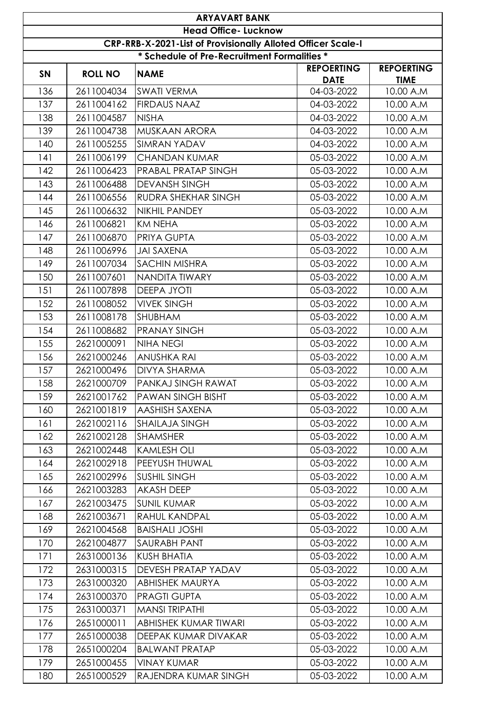| <b>ARYAVART BANK</b>                                         |                             |                                             |                                  |                                  |  |  |
|--------------------------------------------------------------|-----------------------------|---------------------------------------------|----------------------------------|----------------------------------|--|--|
|                                                              | <b>Head Office- Lucknow</b> |                                             |                                  |                                  |  |  |
| CRP-RRB-X-2021-List of Provisionally Alloted Officer Scale-I |                             |                                             |                                  |                                  |  |  |
|                                                              |                             | * Schedule of Pre-Recruitment Formalities * |                                  |                                  |  |  |
| <b>SN</b>                                                    | <b>ROLL NO</b>              | <b>NAME</b>                                 | <b>REPOERTING</b><br><b>DATE</b> | <b>REPOERTING</b><br><b>TIME</b> |  |  |
| 136                                                          | 2611004034                  | <b>SWATI VERMA</b>                          | 04-03-2022                       | 10.00 A.M                        |  |  |
| 137                                                          | 2611004162                  | <b>FIRDAUS NAAZ</b>                         | 04-03-2022                       | 10.00 A.M                        |  |  |
| 138                                                          | 2611004587                  | <b>NISHA</b>                                | 04-03-2022                       | 10.00 A.M                        |  |  |
| 139                                                          | 2611004738                  | MUSKAAN ARORA                               | 04-03-2022                       | 10.00 A.M                        |  |  |
| 140                                                          | 2611005255                  | <b>SIMRAN YADAV</b>                         | 04-03-2022                       | 10.00 A.M                        |  |  |
| 141                                                          | 2611006199                  | <b>CHANDAN KUMAR</b>                        | 05-03-2022                       | 10.00 A.M                        |  |  |
| 142                                                          | 2611006423                  | PRABAL PRATAP SINGH                         | 05-03-2022                       | 10.00 A.M                        |  |  |
| 143                                                          | 2611006488                  | <b>DEVANSH SINGH</b>                        | 05-03-2022                       | 10.00 A.M                        |  |  |
| 144                                                          | 2611006556                  | <b>RUDRA SHEKHAR SINGH</b>                  | 05-03-2022                       | 10.00 A.M                        |  |  |
| 145                                                          | 2611006632                  | <b>NIKHIL PANDEY</b>                        | 05-03-2022                       | 10.00 A.M                        |  |  |
| 146                                                          | 2611006821                  | <b>KM NEHA</b>                              | 05-03-2022                       | 10.00 A.M                        |  |  |
| 147                                                          | 2611006870                  | PRIYA GUPTA                                 | 05-03-2022                       | 10.00 A.M                        |  |  |
| 148                                                          | 2611006996                  | <b>JAI SAXENA</b>                           | 05-03-2022                       | 10.00 A.M                        |  |  |
| 149                                                          | 2611007034                  | <b>SACHIN MISHRA</b>                        | 05-03-2022                       | 10.00 A.M                        |  |  |
| 150                                                          | 2611007601                  | NANDITA TIWARY                              | 05-03-2022                       | 10.00 A.M                        |  |  |
| 151                                                          | 2611007898                  | <b>DEEPA JYOTI</b>                          | 05-03-2022                       | 10.00 A.M                        |  |  |
| 152                                                          | 2611008052                  | <b>VIVEK SINGH</b>                          | 05-03-2022                       | 10.00 A.M                        |  |  |
| 153                                                          | 2611008178                  | <b>SHUBHAM</b>                              | 05-03-2022                       | 10.00 A.M                        |  |  |
| 154                                                          | 2611008682                  | <b>PRANAY SINGH</b>                         | 05-03-2022                       | 10.00 A.M                        |  |  |
| 155                                                          | 2621000091                  | <b>NIHA NEGI</b>                            | 05-03-2022                       | 10.00 A.M                        |  |  |
| 156                                                          | 2621000246                  | <b>ANUSHKA RAI</b>                          | 05-03-2022                       | 10.00 A.M                        |  |  |
| 157                                                          | 2621000496                  | <b>DIVYA SHARMA</b>                         | 05-03-2022                       | 10.00 A.M                        |  |  |
| 158                                                          | 2621000709                  | <b>PANKAJ SINGH RAWAT</b>                   | 05-03-2022                       | 10.00 A.M                        |  |  |
| 159                                                          | 2621001762                  | <b>PAWAN SINGH BISHT</b>                    | 05-03-2022                       | 10.00 A.M                        |  |  |
| 160                                                          | 2621001819                  | AASHISH SAXENA                              | 05-03-2022                       | 10.00 A.M                        |  |  |
| 161                                                          | 2621002116                  | <b>SHAILAJA SINGH</b>                       | 05-03-2022                       | 10.00 A.M                        |  |  |
| 162                                                          | 2621002128                  | <b>SHAMSHER</b>                             | 05-03-2022                       | 10.00 A.M                        |  |  |
| 163                                                          | 2621002448                  | <b>KAMLESH OLI</b>                          | 05-03-2022                       | 10.00 A.M                        |  |  |
| 164                                                          | 2621002918                  | PEEYUSH THUWAL                              | 05-03-2022                       | 10.00 A.M                        |  |  |
| 165                                                          | 2621002996                  | <b>SUSHIL SINGH</b>                         | 05-03-2022                       | 10.00 A.M                        |  |  |
| 166                                                          | 2621003283                  | <b>AKASH DEEP</b>                           | 05-03-2022                       | 10.00 A.M                        |  |  |
| 167                                                          | 2621003475                  | <b>SUNIL KUMAR</b>                          | 05-03-2022                       | 10.00 A.M                        |  |  |
| 168                                                          | 2621003671                  | <b>RAHUL KANDPAL</b>                        | 05-03-2022                       | 10.00 A.M                        |  |  |
| 169                                                          | 2621004568                  | <b>BAISHALI JOSHI</b>                       | 05-03-2022                       | 10.00 A.M                        |  |  |
| 170                                                          | 2621004877                  | SAURABH PANT                                | 05-03-2022                       | 10.00 A.M                        |  |  |
| 171                                                          | 2631000136                  | <b>KUSH BHATIA</b>                          | 05-03-2022                       | 10.00 A.M                        |  |  |
| 172                                                          | 2631000315                  | DEVESH PRATAP YADAV                         | 05-03-2022                       | 10.00 A.M                        |  |  |
| 173                                                          | 2631000320                  | <b>ABHISHEK MAURYA</b>                      | 05-03-2022                       | 10.00 A.M                        |  |  |
| 174                                                          | 2631000370                  | <b>PRAGTI GUPTA</b>                         | 05-03-2022                       | 10.00 A.M                        |  |  |
| 175                                                          | 2631000371                  | <b>MANSI TRIPATHI</b>                       | 05-03-2022                       | 10.00 A.M                        |  |  |
| 176                                                          | 2651000011                  | ABHISHEK KUMAR TIWARI                       | 05-03-2022                       | 10.00 A.M                        |  |  |
| 177                                                          | 2651000038                  | DEEPAK KUMAR DIVAKAR                        | 05-03-2022                       | 10.00 A.M                        |  |  |
| 178                                                          | 2651000204                  | <b>BALWANT PRATAP</b>                       | 05-03-2022                       | 10.00 A.M                        |  |  |
| 179                                                          | 2651000455                  | <b>VINAY KUMAR</b>                          | 05-03-2022                       | 10.00 A.M                        |  |  |
| 180                                                          | 2651000529                  | RAJENDRA KUMAR SINGH                        | 05-03-2022                       | 10.00 A.M                        |  |  |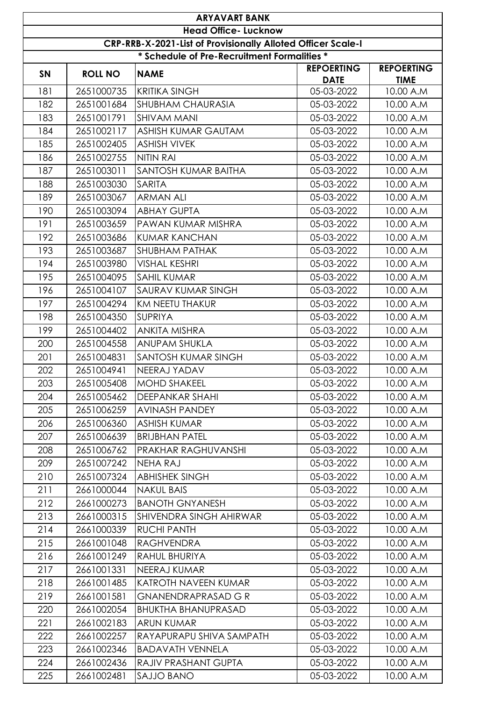| <b>ARYAVART BANK</b>        |                                                              |                                             |                                  |                                  |  |  |
|-----------------------------|--------------------------------------------------------------|---------------------------------------------|----------------------------------|----------------------------------|--|--|
| <b>Head Office- Lucknow</b> |                                                              |                                             |                                  |                                  |  |  |
|                             | CRP-RRB-X-2021-List of Provisionally Alloted Officer Scale-I |                                             |                                  |                                  |  |  |
|                             |                                                              | * Schedule of Pre-Recruitment Formalities * |                                  |                                  |  |  |
| SN                          | <b>ROLL NO</b>                                               | <b>NAME</b>                                 | <b>REPOERTING</b><br><b>DATE</b> | <b>REPOERTING</b><br><b>TIME</b> |  |  |
| 181                         | 2651000735                                                   | <b>KRITIKA SINGH</b>                        | 05-03-2022                       | 10.00 A.M                        |  |  |
| 182                         | 2651001684                                                   | <b>SHUBHAM CHAURASIA</b>                    | 05-03-2022                       | 10.00 A.M                        |  |  |
| 183                         | 2651001791                                                   | <b>SHIVAM MANI</b>                          | 05-03-2022                       | 10.00 A.M                        |  |  |
| 184                         | 2651002117                                                   | ASHISH KUMAR GAUTAM                         | 05-03-2022                       | 10.00 A.M                        |  |  |
| 185                         | 2651002405                                                   | <b>ASHISH VIVEK</b>                         | 05-03-2022                       | 10.00 A.M                        |  |  |
| 186                         | 2651002755                                                   | NITIN RAI                                   | 05-03-2022                       | 10.00 A.M                        |  |  |
| 187                         | 2651003011                                                   | SANTOSH KUMAR BAITHA                        | 05-03-2022                       | 10.00 A.M                        |  |  |
| 188                         | 2651003030                                                   | <b>SARITA</b>                               | 05-03-2022                       | 10.00 A.M                        |  |  |
| 189                         | 2651003067                                                   | <b>ARMAN ALI</b>                            | 05-03-2022                       | 10.00 A.M                        |  |  |
| 190                         | 2651003094                                                   | <b>ABHAY GUPTA</b>                          | 05-03-2022                       | 10.00 A.M                        |  |  |
| 191                         | 2651003659                                                   | PAWAN KUMAR MISHRA                          | 05-03-2022                       | 10.00 A.M                        |  |  |
| 192                         | 2651003686                                                   | <b>KUMAR KANCHAN</b>                        | 05-03-2022                       | 10.00 A.M                        |  |  |
| 193                         | 2651003687                                                   | <b>SHUBHAM PATHAK</b>                       | 05-03-2022                       | 10.00 A.M                        |  |  |
| 194                         | 2651003980                                                   | <b>VISHAL KESHRI</b>                        | 05-03-2022                       | 10.00 A.M                        |  |  |
| 195                         | 2651004095                                                   | <b>SAHIL KUMAR</b>                          | 05-03-2022                       | 10.00 A.M                        |  |  |
| 196                         | 2651004107                                                   | <b>SAURAV KUMAR SINGH</b>                   | 05-03-2022                       | 10.00 A.M                        |  |  |
| 197                         | 2651004294                                                   | KM NEETU THAKUR                             | 05-03-2022                       | 10.00 A.M                        |  |  |
| 198                         | 2651004350                                                   | <b>SUPRIYA</b>                              | 05-03-2022                       | 10.00 A.M                        |  |  |
| 199                         | 2651004402                                                   | <b>ANKITA MISHRA</b>                        | 05-03-2022                       | 10.00 A.M                        |  |  |
| 200                         | 2651004558                                                   | <b>ANUPAM SHUKLA</b>                        | 05-03-2022                       | 10.00 A.M                        |  |  |
| 201                         | 2651004831                                                   | SANTOSH KUMAR SINGH                         | 05-03-2022                       | 10.00 A.M                        |  |  |
| 202                         | 2651004941                                                   | NEERAJ YADAV                                | 05-03-2022                       | 10.00 A.M                        |  |  |
| 203                         | 2651005408                                                   | MOHD SHAKEEL                                | 05-03-2022                       | 10.00 A.M                        |  |  |
| 204                         | 2651005462                                                   | <b>DEEPANKAR SHAHI</b>                      | 05-03-2022                       | 10.00 A.M                        |  |  |
| 205                         | 2651006259                                                   | AVINASH PANDEY                              | 05-03-2022                       | 10.00 A.M                        |  |  |
| 206                         | 2651006360                                                   | <b>ASHISH KUMAR</b>                         | 05-03-2022                       | 10.00 A.M                        |  |  |
| 207                         | 2651006639                                                   | <b>BRIJBHAN PATEL</b>                       | 05-03-2022                       | 10.00 A.M                        |  |  |
| 208                         | 2651006762                                                   | <b>PRAKHAR RAGHUVANSHI</b>                  | 05-03-2022                       | 10.00 A.M                        |  |  |
| 209                         | 2651007242                                                   | <b>NEHA RAJ</b>                             | 05-03-2022                       | 10.00 A.M                        |  |  |
| 210                         | 2651007324                                                   | <b>ABHISHEK SINGH</b>                       | 05-03-2022                       | 10.00 A.M                        |  |  |
| 211                         | 2661000044                                                   | <b>NAKUL BAIS</b>                           | 05-03-2022                       | 10.00 A.M                        |  |  |
| 212                         | 2661000273                                                   | <b>BANOTH GNYANESH</b>                      | 05-03-2022                       | 10.00 A.M                        |  |  |
| 213                         | 2661000315                                                   | SHIVENDRA SINGH AHIRWAR                     | 05-03-2022                       | 10.00 A.M                        |  |  |
| 214                         | 2661000339                                                   | <b>RUCHI PANTH</b>                          | 05-03-2022                       | 10.00 A.M                        |  |  |
| 215                         | 2661001048                                                   | <b>RAGHVENDRA</b>                           | 05-03-2022                       | 10.00 A.M                        |  |  |
| 216                         | 2661001249                                                   | RAHUL BHURIYA                               | 05-03-2022                       | 10.00 A.M                        |  |  |
| 217                         | 2661001331                                                   | NEERAJ KUMAR                                | 05-03-2022                       | 10.00 A.M                        |  |  |
| 218                         | 2661001485                                                   | <b>KATROTH NAVEEN KUMAR</b>                 | 05-03-2022                       | 10.00 A.M                        |  |  |
| 219                         | 2661001581                                                   | <b>GNANENDRAPRASAD G R</b>                  | 05-03-2022                       | 10.00 A.M                        |  |  |
| 220                         | 2661002054                                                   | <b>BHUKTHA BHANUPRASAD</b>                  | 05-03-2022                       | 10.00 A.M                        |  |  |
| 221                         | 2661002183                                                   | <b>ARUN KUMAR</b>                           | 05-03-2022                       | 10.00 A.M                        |  |  |
| 222                         | 2661002257                                                   | RAYAPURAPU SHIVA SAMPATH                    | 05-03-2022                       | 10.00 A.M                        |  |  |
| 223                         | 2661002346                                                   | <b>BADAVATH VENNELA</b>                     | 05-03-2022                       | 10.00 A.M                        |  |  |
| 224                         | 2661002436                                                   | <b>RAJIV PRASHANT GUPTA</b>                 | 05-03-2022                       | 10.00 A.M                        |  |  |
| 225                         | 2661002481                                                   | SAJJO BANO                                  | 05-03-2022                       | 10.00 A.M                        |  |  |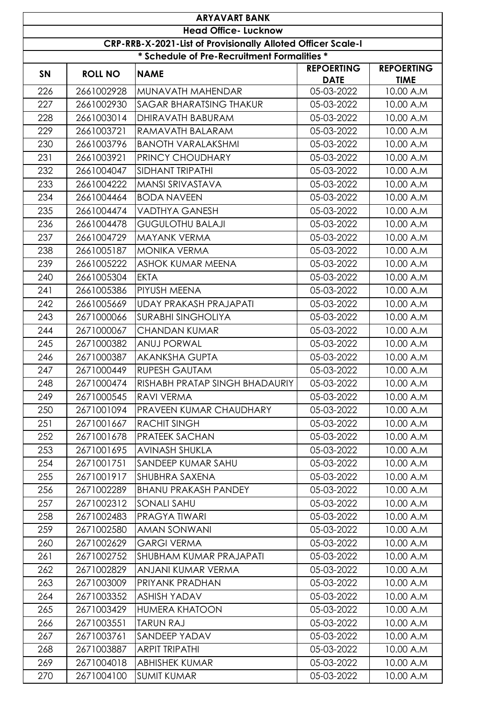|           |                | <b>ARYAVART BANK</b><br><b>Head Office- Lucknow</b>                 |                                  |                                  |
|-----------|----------------|---------------------------------------------------------------------|----------------------------------|----------------------------------|
|           |                | <b>CRP-RRB-X-2021-List of Provisionally Alloted Officer Scale-I</b> |                                  |                                  |
|           |                | * Schedule of Pre-Recruitment Formalities *                         |                                  |                                  |
| <b>SN</b> | <b>ROLL NO</b> | <b>NAME</b>                                                         | <b>REPOERTING</b><br><b>DATE</b> | <b>REPOERTING</b><br><b>TIME</b> |
| 226       | 2661002928     | MUNAVATH MAHENDAR                                                   | 05-03-2022                       | 10.00 A.M                        |
| 227       | 2661002930     | <b>SAGAR BHARATSING THAKUR</b>                                      | 05-03-2022                       | 10.00 A.M                        |
| 228       | 2661003014     | DHIRAVATH BABURAM                                                   | 05-03-2022                       | 10.00 A.M                        |
| 229       | 2661003721     | RAMAVATH BALARAM                                                    | 05-03-2022                       | 10.00 A.M                        |
| 230       | 2661003796     | <b>BANOTH VARALAKSHMI</b>                                           | 05-03-2022                       | 10.00 A.M                        |
| 231       | 2661003921     | <b>PRINCY CHOUDHARY</b>                                             | 05-03-2022                       | 10.00 A.M                        |
| 232       | 2661004047     | <b>SIDHANT TRIPATHI</b>                                             | 05-03-2022                       | 10.00 A.M                        |
| 233       | 2661004222     | <b>MANSI SRIVASTAVA</b>                                             | 05-03-2022                       | 10.00 A.M                        |
| 234       | 2661004464     | <b>BODA NAVEEN</b>                                                  | 05-03-2022                       | 10.00 A.M                        |
| 235       | 2661004474     | <b>VADTHYA GANESH</b>                                               | 05-03-2022                       | 10.00 A.M                        |
| 236       | 2661004478     | <b>GUGULOTHU BALAJI</b>                                             | 05-03-2022                       | 10.00 A.M                        |
| 237       | 2661004729     | <b>MAYANK VERMA</b>                                                 | 05-03-2022                       | 10.00 A.M                        |
| 238       | 2661005187     | <b>MONIKA VERMA</b>                                                 | 05-03-2022                       | 10.00 A.M                        |
| 239       | 2661005222     | ASHOK KUMAR MEENA                                                   | 05-03-2022                       | 10.00 A.M                        |
| 240       | 2661005304     | <b>EKTA</b>                                                         | 05-03-2022                       | 10.00 A.M                        |
| 241       | 2661005386     | <b>PIYUSH MEENA</b>                                                 | 05-03-2022                       | 10.00 A.M                        |
| 242       | 2661005669     | <b>UDAY PRAKASH PRAJAPATI</b>                                       | 05-03-2022                       | 10.00 A.M                        |
| 243       | 2671000066     | <b>SURABHI SINGHOLIYA</b>                                           | 05-03-2022                       | 10.00 A.M                        |
| 244       | 2671000067     | <b>CHANDAN KUMAR</b>                                                | 05-03-2022                       | 10.00 A.M                        |
| 245       | 2671000382     | <b>ANUJ PORWAL</b>                                                  | 05-03-2022                       | 10.00 A.M                        |
| 246       | 2671000387     | <b>AKANKSHA GUPTA</b>                                               | 05-03-2022                       | 10.00 A.M                        |
| 247       | 2671000449     | <b>RUPESH GAUTAM</b>                                                | 05-03-2022                       | 10.00 A.M                        |
| 248       | 2671000474     | RISHABH PRATAP SINGH BHADAURIY                                      | 05-03-2022                       | 10.00 A.M                        |
| 249       | 2671000545     | <b>RAVI VERMA</b>                                                   | 05-03-2022                       | 10.00 A.M                        |
| 250       | 2671001094     | <b>IPRAVEEN KUMAR CHAUDHARY</b>                                     | 05-03-2022                       | 10.00 A.M                        |
| 251       | 2671001667     | <b>RACHIT SINGH</b>                                                 | 05-03-2022                       | 10.00 A.M                        |
| 252       | 2671001678     | <b>IPRATEEK SACHAN</b>                                              | 05-03-2022                       | 10.00 A.M                        |
| 253       | 2671001695     | <b>AVINASH SHUKLA</b>                                               | 05-03-2022                       | 10.00 A.M                        |
| 254       | 2671001751     | SANDEEP KUMAR SAHU                                                  | 05-03-2022                       | 10.00 A.M                        |
| 255       | 2671001917     | <b>SHUBHRA SAXENA</b>                                               | 05-03-2022                       | 10.00 A.M                        |
| 256       | 2671002289     | <b>BHANU PRAKASH PANDEY</b>                                         | 05-03-2022                       | 10.00 A.M                        |
| 257       | 2671002312     | <b>SONALI SAHU</b>                                                  | 05-03-2022                       | 10.00 A.M                        |
| 258       | 2671002483     | <b>PRAGYATIWARI</b>                                                 | 05-03-2022                       | 10.00 A.M                        |
| 259       | 2671002580     | AMAN SONWANI                                                        | 05-03-2022                       | 10.00 A.M                        |
| 260       | 2671002629     | <b>GARGI VERMA</b>                                                  | 05-03-2022                       | 10.00 A.M                        |
| 261       | 2671002752     | <b>SHUBHAM KUMAR PRAJAPATI</b>                                      | 05-03-2022                       | 10.00 A.M                        |
| 262       | 2671002829     | ANJANI KUMAR VERMA                                                  | 05-03-2022                       | 10.00 A.M                        |
| 263       | 2671003009     | PRIYANK PRADHAN                                                     | 05-03-2022                       | 10.00 A.M                        |
| 264       | 2671003352     | <b>ASHISH YADAV</b>                                                 | 05-03-2022                       | 10.00 A.M                        |
| 265       | 2671003429     | <b>HUMERA KHATOON</b>                                               | 05-03-2022                       | 10.00 A.M                        |
| 266       | 2671003551     | <b>TARUN RAJ</b>                                                    | 05-03-2022                       | 10.00 A.M                        |
| 267       | 2671003761     | SANDEEP YADAV                                                       | 05-03-2022                       | 10.00 A.M                        |
| 268       | 2671003887     | <b>ARPIT TRIPATHI</b>                                               | 05-03-2022                       | 10.00 A.M                        |
| 269       | 2671004018     | <b>ABHISHEK KUMAR</b>                                               | 05-03-2022                       | 10.00 A.M                        |
| 270       | 2671004100     | <b>SUMIT KUMAR</b>                                                  | 05-03-2022                       | 10.00 A.M                        |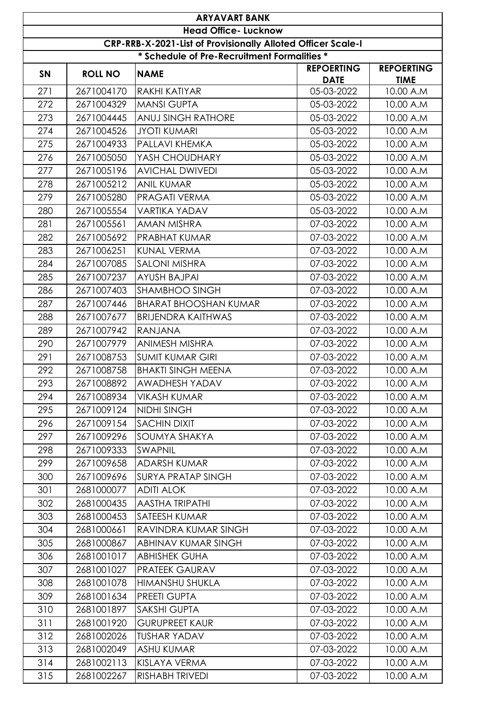|           | <b>ARYAVART BANK</b>                                         |                                             |                                  |                                  |  |  |
|-----------|--------------------------------------------------------------|---------------------------------------------|----------------------------------|----------------------------------|--|--|
|           | <b>Head Office- Lucknow</b>                                  |                                             |                                  |                                  |  |  |
|           | CRP-RRB-X-2021-List of Provisionally Alloted Officer Scale-I |                                             |                                  |                                  |  |  |
|           |                                                              | * Schedule of Pre-Recruitment Formalities * |                                  |                                  |  |  |
| <b>SN</b> | <b>ROLL NO</b>                                               | <b>NAME</b>                                 | <b>REPOERTING</b><br><b>DATE</b> | <b>REPOERTING</b><br><b>TIME</b> |  |  |
| 271       | 2671004170                                                   | <b>RAKHI KATIYAR</b>                        | 05-03-2022                       | 10.00 A.M                        |  |  |
| 272       | 2671004329                                                   | <b>MANSI GUPTA</b>                          | 05-03-2022                       | 10.00 A.M                        |  |  |
| 273       | 2671004445                                                   | <b>ANUJ SINGH RATHORE</b>                   | 05-03-2022                       | 10.00 A.M                        |  |  |
| 274       | 2671004526                                                   | <b>JYOTI KUMARI</b>                         | 05-03-2022                       | 10.00 A.M                        |  |  |
| 275       | 2671004933                                                   | PALLAVI KHEMKA                              | 05-03-2022                       | 10.00 A.M                        |  |  |
| 276       | 2671005050                                                   | YASH CHOUDHARY                              | 05-03-2022                       | 10.00 A.M                        |  |  |
| 277       | 2671005196                                                   | <b>AVICHAL DWIVEDI</b>                      | 05-03-2022                       | 10.00 A.M                        |  |  |
| 278       | 2671005212                                                   | <b>ANIL KUMAR</b>                           | 05-03-2022                       | 10.00 A.M                        |  |  |
| 279       | 2671005280                                                   | <b>PRAGATI VERMA</b>                        | 05-03-2022                       | 10.00 A.M                        |  |  |
| 280       | 2671005554                                                   | <b>VARTIKA YADAV</b>                        | 05-03-2022                       | 10.00 A.M                        |  |  |
| 281       | 2671005561                                                   | <b>AMAN MISHRA</b>                          | 07-03-2022                       | 10.00 A.M                        |  |  |
| 282       | 2671005692                                                   | <b>PRABHAT KUMAR</b>                        | 07-03-2022                       | 10.00 A.M                        |  |  |
| 283       | 2671006251                                                   | <b>KUNAL VERMA</b>                          | 07-03-2022                       | 10.00 A.M                        |  |  |
| 284       | 2671007085                                                   | <b>SALONI MISHRA</b>                        | 07-03-2022                       | 10.00 A.M                        |  |  |
| 285       | 2671007237                                                   | <b>AYUSH BAJPAI</b>                         | 07-03-2022                       | 10.00 A.M                        |  |  |
| 286       | 2671007403                                                   | <b>SHAMBHOO SINGH</b>                       | 07-03-2022                       | 10.00 A.M                        |  |  |
| 287       | 2671007446                                                   | <b>BHARAT BHOOSHAN KUMAR</b>                | 07-03-2022                       | 10.00 A.M                        |  |  |
| 288       | 2671007677                                                   | <b>BRIJENDRA KAITHWAS</b>                   | 07-03-2022                       | 10.00 A.M                        |  |  |
| 289       | 2671007942                                                   | <b>RANJANA</b>                              | 07-03-2022                       | 10.00 A.M                        |  |  |
| 290       | 2671007979                                                   | <b>ANIMESH MISHRA</b>                       | 07-03-2022                       | 10.00 A.M                        |  |  |
| 291       | 2671008753                                                   | <b>SUMIT KUMAR GIRI</b>                     | 07-03-2022                       | 10.00 A.M                        |  |  |
| 292       | 2671008758                                                   | <b>BHAKTI SINGH MEENA</b>                   | 07-03-2022                       | 10.00 A.M                        |  |  |
| 293       | 2671008892                                                   | <b>AWADHESH YADAV</b>                       | 07-03-2022                       | 10.00 A.M                        |  |  |
| 294       | 2671008934                                                   | <b>VIKASH KUMAR</b>                         | 07-03-2022                       | 10.00 A.M                        |  |  |
| 295       | 2671009124                                                   | NIDHI SINGH                                 | 07-03-2022                       | 10.00 A.M                        |  |  |
| 296       | 2671009154                                                   | <b>SACHIN DIXIT</b>                         | 07-03-2022                       | 10.00 A.M                        |  |  |
| 297       | 2671009296                                                   | <b>SOUMYA SHAKYA</b>                        | 07-03-2022                       | 10.00 A.M                        |  |  |
| 298       | 2671009333                                                   | <b>SWAPNIL</b>                              | 07-03-2022                       | 10.00 A.M                        |  |  |
| 299       | 2671009658                                                   | ADARSH KUMAR                                | 07-03-2022                       | 10.00 A.M                        |  |  |
| 300       | 2671009696                                                   | <b>SURYA PRATAP SINGH</b>                   | 07-03-2022                       | 10.00 A.M                        |  |  |
| 301       | 2681000077                                                   | <b>ADITI ALOK</b>                           | 07-03-2022                       | 10.00 A.M                        |  |  |
| 302       | 2681000435                                                   | <b>AASTHA TRIPATHI</b>                      | 07-03-2022                       | 10.00 A.M                        |  |  |
| 303       | 2681000453                                                   | <b>SATEESH KUMAR</b>                        | 07-03-2022                       | 10.00 A.M                        |  |  |
| 304       | 2681000661                                                   | RAVINDRA KUMAR SINGH                        | 07-03-2022                       | 10.00 A.M                        |  |  |
| 305       | 2681000867                                                   | ABHINAV KUMAR SINGH                         | 07-03-2022                       | 10.00 A.M                        |  |  |
| 306       | 2681001017                                                   | <b>ABHISHEK GUHA</b>                        | 07-03-2022                       | 10.00 A.M                        |  |  |
| 307       | 2681001027                                                   | <b>PRATEEK GAURAV</b>                       | 07-03-2022                       | 10.00 A.M                        |  |  |
| 308       | 2681001078                                                   | HIMANSHU SHUKLA                             | 07-03-2022                       | 10.00 A.M                        |  |  |
| 309       | 2681001634                                                   | <b>PREETI GUPTA</b>                         | 07-03-2022                       | 10.00 A.M                        |  |  |
| 310       | 2681001897                                                   | <b>SAKSHI GUPTA</b>                         | 07-03-2022                       | 10.00 A.M                        |  |  |
| 311       | 2681001920                                                   | <b>GURUPREET KAUR</b>                       | 07-03-2022                       | 10.00 A.M                        |  |  |
| 312       | 2681002026                                                   | <b>TUSHAR YADAV</b>                         | 07-03-2022                       | 10.00 A.M                        |  |  |
| 313       | 2681002049                                                   | <b>ASHU KUMAR</b>                           | 07-03-2022                       | 10.00 A.M                        |  |  |
| 314       | 2681002113                                                   | KISLAYA VERMA                               | 07-03-2022                       | 10.00 A.M                        |  |  |
| 315       | 2681002267                                                   | RISHABH TRIVEDI                             | 07-03-2022                       | 10.00 A.M                        |  |  |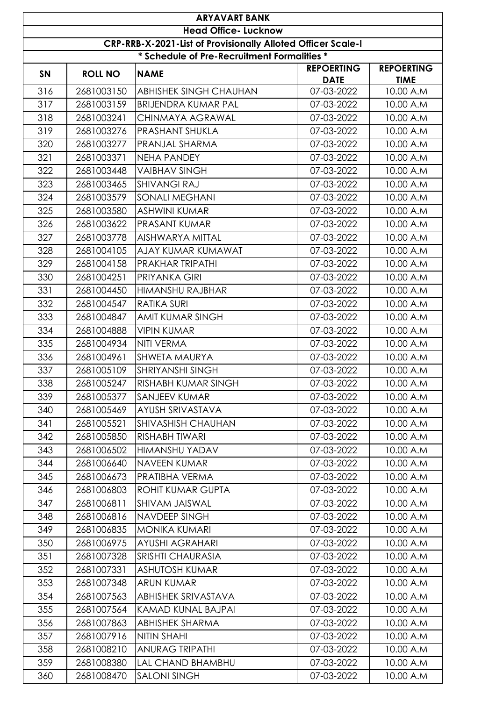|                                                              | <b>ARYAVART BANK</b> |                                             |                                  |                                  |  |  |
|--------------------------------------------------------------|----------------------|---------------------------------------------|----------------------------------|----------------------------------|--|--|
| <b>Head Office- Lucknow</b>                                  |                      |                                             |                                  |                                  |  |  |
| CRP-RRB-X-2021-List of Provisionally Alloted Officer Scale-I |                      |                                             |                                  |                                  |  |  |
|                                                              |                      | * Schedule of Pre-Recruitment Formalities * |                                  |                                  |  |  |
| SN                                                           | <b>ROLL NO</b>       | <b>NAME</b>                                 | <b>REPOERTING</b><br><b>DATE</b> | <b>REPOERTING</b><br><b>TIME</b> |  |  |
| 316                                                          | 2681003150           | <b>ABHISHEK SINGH CHAUHAN</b>               | 07-03-2022                       | 10.00 A.M                        |  |  |
| 317                                                          | 2681003159           | <b>BRIJENDRA KUMAR PAL</b>                  | 07-03-2022                       | 10.00 A.M                        |  |  |
| 318                                                          | 2681003241           | CHINMAYA AGRAWAL                            | 07-03-2022                       | 10.00 A.M                        |  |  |
| 319                                                          | 2681003276           | PRASHANT SHUKLA                             | 07-03-2022                       | 10.00 A.M                        |  |  |
| 320                                                          | 2681003277           | PRANJAL SHARMA                              | 07-03-2022                       | 10.00 A.M                        |  |  |
| 321                                                          | 2681003371           | <b>NEHA PANDEY</b>                          | 07-03-2022                       | 10.00 A.M                        |  |  |
| 322                                                          | 2681003448           | <b>VAIBHAV SINGH</b>                        | 07-03-2022                       | 10.00 A.M                        |  |  |
| 323                                                          | 2681003465           | <b>SHIVANGI RAJ</b>                         | 07-03-2022                       | 10.00 A.M                        |  |  |
| 324                                                          | 2681003579           | <b>SONALI MEGHANI</b>                       | 07-03-2022                       | 10.00 A.M                        |  |  |
| 325                                                          | 2681003580           | <b>ASHWINI KUMAR</b>                        | 07-03-2022                       | 10.00 A.M                        |  |  |
| 326                                                          | 2681003622           | PRASANT KUMAR                               | 07-03-2022                       | 10.00 A.M                        |  |  |
| 327                                                          | 2681003778           | <b>AISHWARYA MITTAL</b>                     | 07-03-2022                       | 10.00 A.M                        |  |  |
| 328                                                          | 2681004105           | AJAY KUMAR KUMAWAT                          | 07-03-2022                       | 10.00 A.M                        |  |  |
| 329                                                          | 2681004158           | PRAKHAR TRIPATHI                            | 07-03-2022                       | 10.00 A.M                        |  |  |
| 330                                                          | 2681004251           | <b>PRIYANKA GIRI</b>                        | 07-03-2022                       | 10.00 A.M                        |  |  |
| 331                                                          | 2681004450           | HIMANSHU RAJBHAR                            | 07-03-2022                       | 10.00 A.M                        |  |  |
| 332                                                          | 2681004547           | <b>RATIKA SURI</b>                          | 07-03-2022                       | 10.00 A.M                        |  |  |
| 333                                                          | 2681004847           | <b>AMIT KUMAR SINGH</b>                     | 07-03-2022                       | 10.00 A.M                        |  |  |
| 334                                                          | 2681004888           | <b>VIPIN KUMAR</b>                          | 07-03-2022                       | 10.00 A.M                        |  |  |
| 335                                                          | 2681004934           | NITI VERMA                                  | 07-03-2022                       | 10.00 A.M                        |  |  |
| 336                                                          | 2681004961           | SHWETA MAURYA                               | 07-03-2022                       | 10.00 A.M                        |  |  |
| 337                                                          | 2681005109           | <b>SHRIYANSHI SINGH</b>                     | 07-03-2022                       | 10.00 A.M                        |  |  |
| 338                                                          | 2681005247           | RISHABH KUMAR SINGH                         | 07-03-2022                       | 10.00 A.M                        |  |  |
| 339                                                          | 2681005377           | <b>SANJEEV KUMAR</b>                        | 07-03-2022                       | 10.00 A.M                        |  |  |
| 340                                                          | 2681005469           | AYUSH SRIVASTAVA                            | 07-03-2022                       | 10.00 A.M                        |  |  |
| 341                                                          | 2681005521           | <b>SHIVASHISH CHAUHAN</b>                   | 07-03-2022                       | 10.00 A.M                        |  |  |
| 342                                                          | 2681005850           | RISHABH TIWARI                              | 07-03-2022                       | 10.00 A.M                        |  |  |
| 343                                                          | 2681006502           | HIMANSHU YADAV                              | 07-03-2022                       | 10.00 A.M                        |  |  |
| 344                                                          | 2681006640           | NAVEEN KUMAR                                | 07-03-2022                       | 10.00 A.M                        |  |  |
| 345                                                          | 2681006673           | PRATIBHA VERMA                              | 07-03-2022                       | 10.00 A.M                        |  |  |
| 346                                                          | 2681006803           | <b>ROHIT KUMAR GUPTA</b>                    | 07-03-2022                       | 10.00 A.M                        |  |  |
| 347                                                          | 2681006811           | SHIVAM JAISWAL                              | 07-03-2022                       | 10.00 A.M                        |  |  |
| 348                                                          | 2681006816           | NAVDEEP SINGH                               | 07-03-2022                       | 10.00 A.M                        |  |  |
| 349                                                          | 2681006835           | <b>MONIKA KUMARI</b>                        | 07-03-2022                       | 10.00 A.M                        |  |  |
| 350                                                          | 2681006975           | <b>AYUSHI AGRAHARI</b>                      | 07-03-2022                       | 10.00 A.M                        |  |  |
| 351                                                          | 2681007328           | <b>SRISHTI CHAURASIA</b>                    | 07-03-2022                       | 10.00 A.M                        |  |  |
| 352                                                          | 2681007331           | <b>ASHUTOSH KUMAR</b>                       | 07-03-2022                       | 10.00 A.M                        |  |  |
| 353                                                          | 2681007348           | <b>ARUN KUMAR</b>                           | 07-03-2022                       | 10.00 A.M                        |  |  |
| 354                                                          | 2681007563           | ABHISHEK SRIVASTAVA                         | 07-03-2022                       | 10.00 A.M                        |  |  |
| 355                                                          | 2681007564           | <b>KAMAD KUNAL BAJPAI</b>                   | 07-03-2022                       | 10.00 A.M                        |  |  |
| 356                                                          | 2681007863           | <b>ABHISHEK SHARMA</b>                      | 07-03-2022                       | 10.00 A.M                        |  |  |
| 357                                                          | 2681007916           | NITIN SHAHI                                 | 07-03-2022                       | 10.00 A.M                        |  |  |
| 358                                                          | 2681008210           | <b>ANURAG TRIPATHI</b>                      | 07-03-2022                       | 10.00 A.M                        |  |  |
| 359                                                          | 2681008380           | <b>LAL CHAND BHAMBHU</b>                    | 07-03-2022                       | 10.00 A.M                        |  |  |
| 360                                                          | 2681008470           | <b>SALONI SINGH</b>                         | 07-03-2022                       | 10.00 A.M                        |  |  |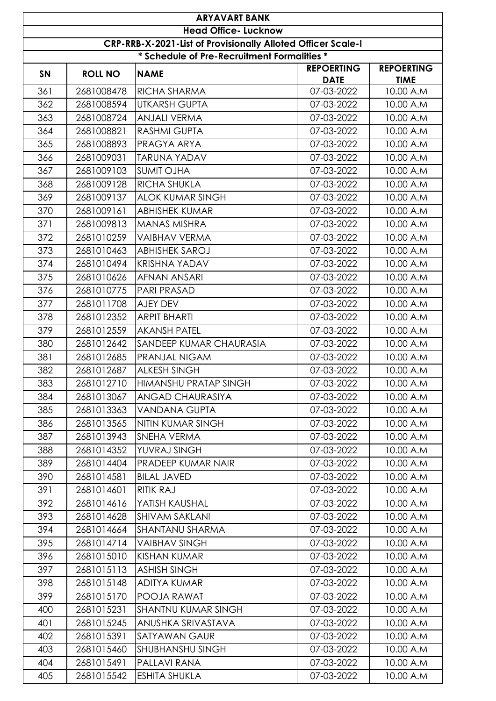|           | <b>ARYAVART BANK</b>                                         |                                             |                                  |                                  |  |  |
|-----------|--------------------------------------------------------------|---------------------------------------------|----------------------------------|----------------------------------|--|--|
|           | <b>Head Office- Lucknow</b>                                  |                                             |                                  |                                  |  |  |
|           | CRP-RRB-X-2021-List of Provisionally Alloted Officer Scale-I |                                             |                                  |                                  |  |  |
|           |                                                              | * Schedule of Pre-Recruitment Formalities * |                                  |                                  |  |  |
| <b>SN</b> | <b>ROLL NO</b>                                               | <b>NAME</b>                                 | <b>REPOERTING</b><br><b>DATE</b> | <b>REPOERTING</b><br><b>TIME</b> |  |  |
| 361       | 2681008478                                                   | RICHA SHARMA                                | 07-03-2022                       | 10.00 A.M                        |  |  |
| 362       | 2681008594                                                   | <b>UTKARSH GUPTA</b>                        | 07-03-2022                       | 10.00 A.M                        |  |  |
| 363       | 2681008724                                                   | <b>ANJALI VERMA</b>                         | 07-03-2022                       | 10.00 A.M                        |  |  |
| 364       | 2681008821                                                   | <b>RASHMI GUPTA</b>                         | 07-03-2022                       | 10.00 A.M                        |  |  |
| 365       | 2681008893                                                   | PRAGYA ARYA                                 | 07-03-2022                       | 10.00 A.M                        |  |  |
| 366       | 2681009031                                                   | <b>TARUNA YADAV</b>                         | 07-03-2022                       | 10.00 A.M                        |  |  |
| 367       | 2681009103                                                   | <b>SUMIT OJHA</b>                           | 07-03-2022                       | 10.00 A.M                        |  |  |
| 368       | 2681009128                                                   | <b>RICHA SHUKLA</b>                         | 07-03-2022                       | 10.00 A.M                        |  |  |
| 369       | 2681009137                                                   | <b>ALOK KUMAR SINGH</b>                     | 07-03-2022                       | 10.00 A.M                        |  |  |
| 370       | 2681009161                                                   | <b>ABHISHEK KUMAR</b>                       | 07-03-2022                       | 10.00 A.M                        |  |  |
| 371       | 2681009813                                                   | <b>MANAS MISHRA</b>                         | 07-03-2022                       | 10.00 A.M                        |  |  |
| 372       | 2681010259                                                   | <b>VAIBHAV VERMA</b>                        | 07-03-2022                       | 10.00 A.M                        |  |  |
| 373       | 2681010463                                                   | <b>ABHISHEK SAROJ</b>                       | 07-03-2022                       | 10.00 A.M                        |  |  |
| 374       | 2681010494                                                   | <b>KRISHNA YADAV</b>                        | 07-03-2022                       | 10.00 A.M                        |  |  |
| 375       | 2681010626                                                   | <b>AFNAN ANSARI</b>                         | 07-03-2022                       | 10.00 A.M                        |  |  |
| 376       | 2681010775                                                   | <b>PARI PRASAD</b>                          | 07-03-2022                       | 10.00 A.M                        |  |  |
| 377       | 2681011708                                                   | AJEY DEV                                    | 07-03-2022                       | 10.00 A.M                        |  |  |
| 378       | 2681012352                                                   | <b>ARPIT BHARTI</b>                         | 07-03-2022                       | 10.00 A.M                        |  |  |
| 379       | 2681012559                                                   | <b>AKANSH PATEL</b>                         | 07-03-2022                       | 10.00 A.M                        |  |  |
| 380       | 2681012642                                                   | <b>SANDEEP KUMAR CHAURASIA</b>              | 07-03-2022                       | 10.00 A.M                        |  |  |
| 381       | 2681012685                                                   | <b>PRANJAL NIGAM</b>                        | 07-03-2022                       | 10.00 A.M                        |  |  |
| 382       | 2681012687                                                   | <b>ALKESH SINGH</b>                         | 07-03-2022                       | 10.00 A.M                        |  |  |
| 383       | 2681012710                                                   | HIMANSHU PRATAP SINGH                       | 07-03-2022                       | 10.00 A.M                        |  |  |
| 384       | 2681013067                                                   | ANGAD CHAURASIYA                            | 07-03-2022                       | 10.00 A.M                        |  |  |
| 385       | 2681013363                                                   | <b>VANDANA GUPTA</b>                        | 07-03-2022                       | 10.00 A.M                        |  |  |
| 386       | 2681013565                                                   | NITIN KUMAR SINGH                           | 07-03-2022                       | 10.00 A.M                        |  |  |
| 387       | 2681013943                                                   | SNEHA VERMA                                 | 07-03-2022                       | 10.00 A.M                        |  |  |
| 388       | 2681014352                                                   | YUVRAJ SINGH                                | 07-03-2022                       | 10.00 A.M                        |  |  |
| 389       | 2681014404                                                   | PRADEEP KUMAR NAIR                          | 07-03-2022                       | 10.00 A.M                        |  |  |
| 390       | 2681014581                                                   | <b>BILAL JAVED</b>                          | 07-03-2022                       | 10.00 A.M                        |  |  |
| 391       | 2681014601                                                   | <b>RITIK RAJ</b>                            | 07-03-2022                       | 10.00 A.M                        |  |  |
| 392       | 2681014616                                                   | YATISH KAUSHAL                              | 07-03-2022                       | 10.00 A.M                        |  |  |
| 393       | 2681014628                                                   | <b>SHIVAM SAKLANI</b>                       | 07-03-2022                       | 10.00 A.M                        |  |  |
| 394       | 2681014664                                                   | <b>SHANTANU SHARMA</b>                      | 07-03-2022                       | 10.00 A.M                        |  |  |
| 395       | 2681014714                                                   | <b>VAIBHAV SINGH</b>                        | 07-03-2022                       | 10.00 A.M                        |  |  |
| 396       | 2681015010                                                   | <b>KISHAN KUMAR</b>                         | 07-03-2022                       | 10.00 A.M                        |  |  |
| 397       | 2681015113                                                   | <b>ASHISH SINGH</b>                         | 07-03-2022                       | 10.00 A.M                        |  |  |
| 398       | 2681015148                                                   | <b>ADITYA KUMAR</b>                         | 07-03-2022                       | 10.00 A.M                        |  |  |
| 399       | 2681015170                                                   | POOJA RAWAT                                 | 07-03-2022                       | 10.00 A.M                        |  |  |
| 400       | 2681015231                                                   | <b>SHANTNU KUMAR SINGH</b>                  | 07-03-2022                       | 10.00 A.M                        |  |  |
| 401       | 2681015245                                                   | ANUSHKA SRIVASTAVA                          | 07-03-2022                       | 10.00 A.M                        |  |  |
| 402       | 2681015391                                                   | <b>SATYAWAN GAUR</b>                        | 07-03-2022                       | 10.00 A.M                        |  |  |
| 403       | 2681015460                                                   | <b>SHUBHANSHU SINGH</b>                     | 07-03-2022                       | 10.00 A.M                        |  |  |
| 404       | 2681015491                                                   | PALLAVI RANA                                | 07-03-2022                       | 10.00 A.M                        |  |  |
| 405       | 2681015542                                                   | <b>ESHITA SHUKLA</b>                        | 07-03-2022                       | 10.00 A.M                        |  |  |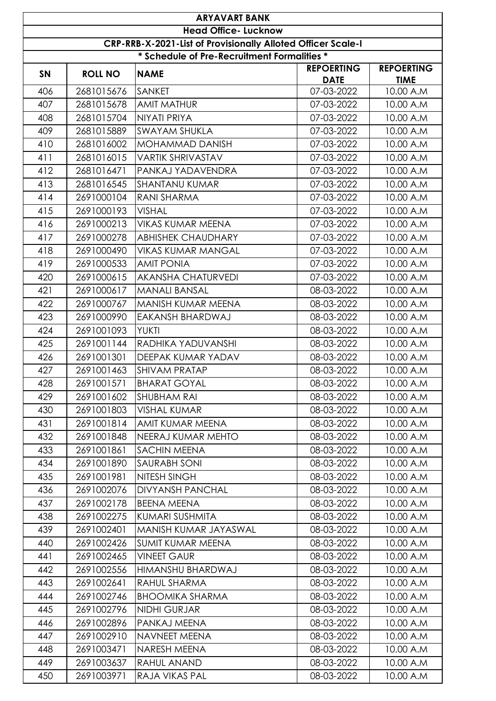|           | <b>ARYAVART BANK</b>                                         |                                             |                                  |                                  |  |  |
|-----------|--------------------------------------------------------------|---------------------------------------------|----------------------------------|----------------------------------|--|--|
|           | <b>Head Office- Lucknow</b>                                  |                                             |                                  |                                  |  |  |
|           | CRP-RRB-X-2021-List of Provisionally Alloted Officer Scale-I |                                             |                                  |                                  |  |  |
|           |                                                              | * Schedule of Pre-Recruitment Formalities * |                                  |                                  |  |  |
| <b>SN</b> | <b>ROLL NO</b>                                               | <b>NAME</b>                                 | <b>REPOERTING</b><br><b>DATE</b> | <b>REPOERTING</b><br><b>TIME</b> |  |  |
| 406       | 2681015676                                                   | <b>SANKET</b>                               | 07-03-2022                       | 10.00 A.M                        |  |  |
| 407       | 2681015678                                                   | <b>AMIT MATHUR</b>                          | 07-03-2022                       | 10.00 A.M                        |  |  |
| 408       | 2681015704                                                   | NIYATI PRIYA                                | 07-03-2022                       | 10.00 A.M                        |  |  |
| 409       | 2681015889                                                   | <b>SWAYAM SHUKLA</b>                        | 07-03-2022                       | 10.00 A.M                        |  |  |
| 410       | 2681016002                                                   | <b>MOHAMMAD DANISH</b>                      | 07-03-2022                       | 10.00 A.M                        |  |  |
| 411       | 2681016015                                                   | <b>VARTIK SHRIVASTAV</b>                    | 07-03-2022                       | 10.00 A.M                        |  |  |
| 412       | 2681016471                                                   | PANKAJ YADAVENDRA                           | 07-03-2022                       | 10.00 A.M                        |  |  |
| 413       | 2681016545                                                   | <b>SHANTANU KUMAR</b>                       | 07-03-2022                       | 10.00 A.M                        |  |  |
| 414       | 2691000104                                                   | <b>RANI SHARMA</b>                          | 07-03-2022                       | 10.00 A.M                        |  |  |
| 415       | 2691000193                                                   | <b>VISHAL</b>                               | 07-03-2022                       | 10.00 A.M                        |  |  |
| 416       | 2691000213                                                   | <b>VIKAS KUMAR MEENA</b>                    | 07-03-2022                       | 10.00 A.M                        |  |  |
| 417       | 2691000278                                                   | <b>ABHISHEK CHAUDHARY</b>                   | 07-03-2022                       | 10.00 A.M                        |  |  |
| 418       | 2691000490                                                   | <b>VIKAS KUMAR MANGAL</b>                   | 07-03-2022                       | 10.00 A.M                        |  |  |
| 419       | 2691000533                                                   | <b>AMIT PONIA</b>                           | 07-03-2022                       | 10.00 A.M                        |  |  |
| 420       | 2691000615                                                   | <b>AKANSHA CHATURVEDI</b>                   | 07-03-2022                       | 10.00 A.M                        |  |  |
| 421       | 2691000617                                                   | <b>MANALI BANSAL</b>                        | 08-03-2022                       | 10.00 A.M                        |  |  |
| 422       | 2691000767                                                   | MANISH KUMAR MEENA                          | 08-03-2022                       | 10.00 A.M                        |  |  |
| 423       | 2691000990                                                   | <b>EAKANSH BHARDWAJ</b>                     | 08-03-2022                       | 10.00 A.M                        |  |  |
| 424       | 2691001093                                                   | <b>YUKTI</b>                                | 08-03-2022                       | 10.00 A.M                        |  |  |
| 425       | 2691001144                                                   | RADHIKA YADUVANSHI                          | 08-03-2022                       | 10.00 A.M                        |  |  |
| 426       | 2691001301                                                   | <b>DEEPAK KUMAR YADAV</b>                   | 08-03-2022                       | 10.00 A.M                        |  |  |
| 427       | 2691001463                                                   | Ishivam pratap                              | 08-03-2022                       | 10.00 A.M                        |  |  |
| 428       | 2691001571                                                   | <b>BHARAT GOYAL</b>                         | 08-03-2022                       | 10.00 A.M                        |  |  |
| 429       | 2691001602                                                   | <b>SHUBHAM RAI</b>                          | 08-03-2022                       | 10.00 A.M                        |  |  |
| 430       | 2691001803                                                   | <b>VISHAL KUMAR</b>                         | 08-03-2022                       | 10.00 A.M                        |  |  |
| 431       | 2691001814                                                   | AMIT KUMAR MEENA                            | 08-03-2022                       | 10.00 A.M                        |  |  |
| 432       | 2691001848                                                   | NEERAJ KUMAR MEHTO                          | 08-03-2022                       | 10.00 A.M                        |  |  |
| 433       | 2691001861                                                   | <b>SACHIN MEENA</b>                         | 08-03-2022                       | 10.00 A.M                        |  |  |
| 434       | 2691001890                                                   | <b>SAURABH SONI</b>                         | 08-03-2022                       | 10.00 A.M                        |  |  |
| 435       | 2691001981                                                   | NITESH SINGH                                | 08-03-2022                       | 10.00 A.M                        |  |  |
| 436       | 2691002076                                                   | <b>DIVYANSH PANCHAL</b>                     | 08-03-2022                       | 10.00 A.M                        |  |  |
| 437       | 2691002178                                                   | <b>BEENA MEENA</b>                          | 08-03-2022                       | 10.00 A.M                        |  |  |
| 438       | 2691002275                                                   | <b>KUMARI SUSHMITA</b>                      | 08-03-2022                       | 10.00 A.M                        |  |  |
| 439       | 2691002401                                                   | MANISH KUMAR JAYASWAL                       | 08-03-2022                       | 10.00 A.M                        |  |  |
| 440       | 2691002426                                                   | <b>SUMIT KUMAR MEENA</b>                    | 08-03-2022                       | 10.00 A.M                        |  |  |
| 441       | 2691002465                                                   | <b>VINEET GAUR</b>                          | 08-03-2022                       | 10.00 A.M                        |  |  |
| 442       | 2691002556                                                   | HIMANSHU BHARDWAJ                           | 08-03-2022                       | 10.00 A.M                        |  |  |
| 443       | 2691002641                                                   | RAHUL SHARMA                                | 08-03-2022                       | 10.00 A.M                        |  |  |
| 444       | 2691002746                                                   | <b>BHOOMIKA SHARMA</b>                      | 08-03-2022                       | 10.00 A.M                        |  |  |
| 445       | 2691002796                                                   | <b>NIDHI GURJAR</b>                         | 08-03-2022                       | 10.00 A.M                        |  |  |
| 446       | 2691002896                                                   | PANKAJ MEENA                                | 08-03-2022                       | 10.00 A.M                        |  |  |
| 447       | 2691002910                                                   | NAVNEET MEENA                               | 08-03-2022                       | 10.00 A.M                        |  |  |
| 448       | 2691003471                                                   | NARESH MEENA                                | 08-03-2022                       | 10.00 A.M                        |  |  |
| 449       | 2691003637                                                   | RAHUL ANAND                                 | 08-03-2022                       | 10.00 A.M                        |  |  |
| 450       | 2691003971                                                   | RAJA VIKAS PAL                              | 08-03-2022                       | 10.00 A.M                        |  |  |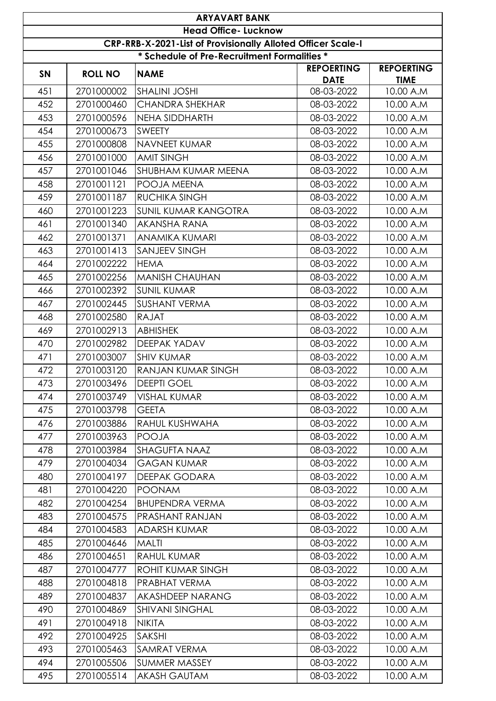|                                                              | <b>ARYAVART BANK</b> |                                             |                                  |                                  |  |  |
|--------------------------------------------------------------|----------------------|---------------------------------------------|----------------------------------|----------------------------------|--|--|
| <b>Head Office- Lucknow</b>                                  |                      |                                             |                                  |                                  |  |  |
| CRP-RRB-X-2021-List of Provisionally Alloted Officer Scale-I |                      |                                             |                                  |                                  |  |  |
|                                                              |                      | * Schedule of Pre-Recruitment Formalities * |                                  |                                  |  |  |
| SN                                                           | <b>ROLL NO</b>       | <b>NAME</b>                                 | <b>REPOERTING</b><br><b>DATE</b> | <b>REPOERTING</b><br><b>TIME</b> |  |  |
| 451                                                          | 2701000002           | <b>SHALINI JOSHI</b>                        | 08-03-2022                       | 10.00 A.M                        |  |  |
| 452                                                          | 2701000460           | <b>CHANDRA SHEKHAR</b>                      | 08-03-2022                       | 10.00 A.M                        |  |  |
| 453                                                          | 2701000596           | <b>NEHA SIDDHARTH</b>                       | 08-03-2022                       | 10.00 A.M                        |  |  |
| 454                                                          | 2701000673           | <b>SWEETY</b>                               | 08-03-2022                       | 10.00 A.M                        |  |  |
| 455                                                          | 2701000808           | NAVNEET KUMAR                               | 08-03-2022                       | 10.00 A.M                        |  |  |
| 456                                                          | 2701001000           | <b>AMIT SINGH</b>                           | 08-03-2022                       | 10.00 A.M                        |  |  |
| 457                                                          | 2701001046           | <b>SHUBHAM KUMAR MEENA</b>                  | 08-03-2022                       | 10.00 A.M                        |  |  |
| 458                                                          | 2701001121           | POOJA MEENA                                 | 08-03-2022                       | 10.00 A.M                        |  |  |
| 459                                                          | 2701001187           | <b>RUCHIKA SINGH</b>                        | 08-03-2022                       | 10.00 A.M                        |  |  |
| 460                                                          | 2701001223           | <b>SUNIL KUMAR KANGOTRA</b>                 | 08-03-2022                       | 10.00 A.M                        |  |  |
| 461                                                          | 2701001340           | <b>AKANSHA RANA</b>                         | 08-03-2022                       | 10.00 A.M                        |  |  |
| 462                                                          | 2701001371           | <b>ANAMIKA KUMARI</b>                       | 08-03-2022                       | 10.00 A.M                        |  |  |
| 463                                                          | 2701001413           | <b>SANJEEV SINGH</b>                        | 08-03-2022                       | 10.00 A.M                        |  |  |
| 464                                                          | 2701002222           | <b>HEMA</b>                                 | 08-03-2022                       | 10.00 A.M                        |  |  |
| 465                                                          | 2701002256           | <b>MANISH CHAUHAN</b>                       | 08-03-2022                       | 10.00 A.M                        |  |  |
| 466                                                          | 2701002392           | <b>SUNIL KUMAR</b>                          | 08-03-2022                       | 10.00 A.M                        |  |  |
| 467                                                          | 2701002445           | <b>SUSHANT VERMA</b>                        | 08-03-2022                       | 10.00 A.M                        |  |  |
| 468                                                          | 2701002580           | <b>RAJAT</b>                                | 08-03-2022                       | 10.00 A.M                        |  |  |
| 469                                                          | 2701002913           | <b>ABHISHEK</b>                             | 08-03-2022                       | 10.00 A.M                        |  |  |
| 470                                                          | 2701002982           | DEEPAK YADAV                                | 08-03-2022                       | 10.00 A.M                        |  |  |
| 471                                                          | 2701003007           | <b>SHIV KUMAR</b>                           | 08-03-2022                       | 10.00 A.M                        |  |  |
| 472                                                          | 2701003120           | <b>RANJAN KUMAR SINGH</b>                   | 08-03-2022                       | 10.00 A.M                        |  |  |
| 473                                                          | 2701003496           | <b>DEEPTI GOEL</b>                          | 08-03-2022                       | 10.00 A.M                        |  |  |
| 474                                                          | 2701003749           | <b>VISHAL KUMAR</b>                         | 08-03-2022                       | 10.00 A.M                        |  |  |
| 475                                                          | 2701003798           | <b>GEETA</b>                                | 08-03-2022                       | 10.00 A.M                        |  |  |
| 476                                                          | 2701003886           | RAHUL KUSHWAHA                              | 08-03-2022                       | 10.00 A.M                        |  |  |
| 477                                                          | 2701003963           | <b>POOJA</b>                                | 08-03-2022                       | 10.00 A.M                        |  |  |
| 478                                                          | 2701003984           | <b>SHAGUFTA NAAZ</b>                        | 08-03-2022                       | 10.00 A.M                        |  |  |
| 479                                                          | 2701004034           | <b>GAGAN KUMAR</b>                          | 08-03-2022                       | 10.00 A.M                        |  |  |
| 480                                                          | 2701004197           | <b>DEEPAK GODARA</b>                        | 08-03-2022                       | 10.00 A.M                        |  |  |
| 481                                                          | 2701004220           | <b>POONAM</b>                               | 08-03-2022                       | 10.00 A.M                        |  |  |
| 482                                                          | 2701004254           | <b>BHUPENDRA VERMA</b>                      | 08-03-2022                       | 10.00 A.M                        |  |  |
| 483                                                          | 2701004575           | PRASHANT RANJAN                             | 08-03-2022                       | 10.00 A.M                        |  |  |
| 484                                                          | 2701004583           | ADARSH KUMAR                                | 08-03-2022                       | 10.00 A.M                        |  |  |
| 485                                                          | 2701004646           | <b>MALTI</b>                                | 08-03-2022                       | 10.00 A.M                        |  |  |
| 486                                                          | 2701004651           | <b>RAHUL KUMAR</b>                          | 08-03-2022                       | 10.00 A.M                        |  |  |
| 487                                                          | 2701004777           | <b>ROHIT KUMAR SINGH</b>                    | 08-03-2022                       | 10.00 A.M                        |  |  |
| 488                                                          | 2701004818           | <b>PRABHAT VERMA</b>                        | 08-03-2022                       | 10.00 A.M                        |  |  |
| 489                                                          | 2701004837           | AKASHDEEP NARANG                            | 08-03-2022                       | 10.00 A.M                        |  |  |
| 490                                                          | 2701004869           | <b>SHIVANI SINGHAL</b>                      | 08-03-2022                       | 10.00 A.M                        |  |  |
| 491                                                          | 2701004918           | <b>NIKITA</b>                               | 08-03-2022                       | 10.00 A.M                        |  |  |
| 492                                                          | 2701004925           | <b>SAKSHI</b>                               | 08-03-2022                       | 10.00 A.M                        |  |  |
| 493                                                          | 2701005463           | <b>SAMRAT VERMA</b>                         | 08-03-2022                       | 10.00 A.M                        |  |  |
| 494                                                          | 2701005506           | <b>SUMMER MASSEY</b>                        | 08-03-2022                       | 10.00 A.M                        |  |  |
| 495                                                          | 2701005514           | <b>AKASH GAUTAM</b>                         | 08-03-2022                       | 10.00 A.M                        |  |  |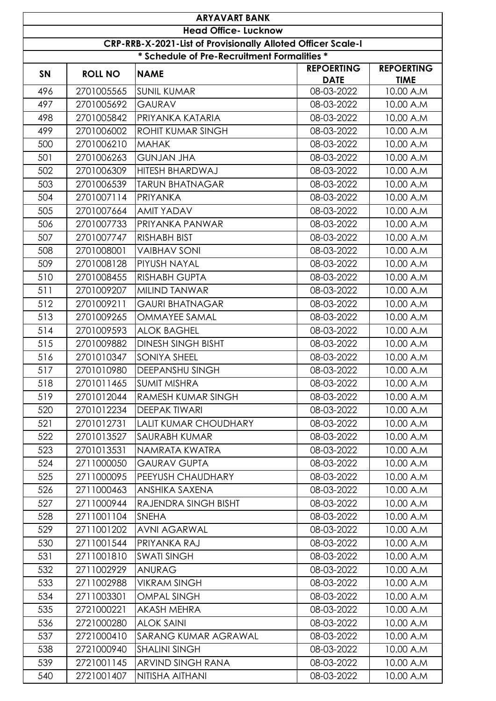| <b>ARYAVART BANK</b> |                                                              |                                             |                                  |                                  |  |  |
|----------------------|--------------------------------------------------------------|---------------------------------------------|----------------------------------|----------------------------------|--|--|
|                      | <b>Head Office- Lucknow</b>                                  |                                             |                                  |                                  |  |  |
|                      | CRP-RRB-X-2021-List of Provisionally Alloted Officer Scale-I |                                             |                                  |                                  |  |  |
|                      |                                                              | * Schedule of Pre-Recruitment Formalities * |                                  |                                  |  |  |
| <b>SN</b>            | <b>ROLL NO</b>                                               | <b>NAME</b>                                 | <b>REPOERTING</b><br><b>DATE</b> | <b>REPOERTING</b><br><b>TIME</b> |  |  |
| 496                  | 2701005565                                                   | <b>SUNIL KUMAR</b>                          | 08-03-2022                       | 10.00 A.M                        |  |  |
| 497                  | 2701005692                                                   | <b>GAURAV</b>                               | 08-03-2022                       | 10.00 A.M                        |  |  |
| 498                  | 2701005842                                                   | PRIYANKA KATARIA                            | 08-03-2022                       | 10.00 A.M                        |  |  |
| 499                  | 2701006002                                                   | <b>ROHIT KUMAR SINGH</b>                    | 08-03-2022                       | 10.00 A.M                        |  |  |
| 500                  | 2701006210                                                   | <b>MAHAK</b>                                | 08-03-2022                       | 10.00 A.M                        |  |  |
| 501                  | 2701006263                                                   | <b>GUNJAN JHA</b>                           | 08-03-2022                       | 10.00 A.M                        |  |  |
| 502                  | 2701006309                                                   | <b>HITESH BHARDWAJ</b>                      | 08-03-2022                       | 10.00 A.M                        |  |  |
| 503                  | 2701006539                                                   | <b>TARUN BHATNAGAR</b>                      | 08-03-2022                       | 10.00 A.M                        |  |  |
| 504                  | 2701007114                                                   | PRIYANKA                                    | 08-03-2022                       | 10.00 A.M                        |  |  |
| 505                  | 2701007664                                                   | <b>AMIT YADAV</b>                           | 08-03-2022                       | 10.00 A.M                        |  |  |
| 506                  | 2701007733                                                   | PRIYANKA PANWAR                             | 08-03-2022                       | 10.00 A.M                        |  |  |
| 507                  | 2701007747                                                   | <b>RISHABH BIST</b>                         | 08-03-2022                       | 10.00 A.M                        |  |  |
| 508                  | 2701008001                                                   | <b>VAIBHAV SONI</b>                         | 08-03-2022                       | 10.00 A.M                        |  |  |
| 509                  | 2701008128                                                   | PIYUSH NAYAL                                | 08-03-2022                       | 10.00 A.M                        |  |  |
| 510                  | 2701008455                                                   | <b>RISHABH GUPTA</b>                        | 08-03-2022                       | 10.00 A.M                        |  |  |
| 511                  | 2701009207                                                   | MILIND TANWAR                               | 08-03-2022                       | 10.00 A.M                        |  |  |
| 512                  | 2701009211                                                   | <b>GAURI BHATNAGAR</b>                      | 08-03-2022                       | 10.00 A.M                        |  |  |
| 513                  | 2701009265                                                   | <b>OMMAYEE SAMAL</b>                        | 08-03-2022                       | 10.00 A.M                        |  |  |
| 514                  | 2701009593                                                   | <b>ALOK BAGHEL</b>                          | 08-03-2022                       | 10.00 A.M                        |  |  |
| 515                  | 2701009882                                                   | <b>DINESH SINGH BISHT</b>                   | 08-03-2022                       | 10.00 A.M                        |  |  |
| 516                  | 2701010347                                                   | <b>SONIYA SHEEL</b>                         | 08-03-2022                       | 10.00 A.M                        |  |  |
| 517                  | 2701010980                                                   | <b>DEEPANSHU SINGH</b>                      | 08-03-2022                       | 10.00 A.M                        |  |  |
| 518                  | 2701011465                                                   | <b>SUMIT MISHRA</b>                         | 08-03-2022                       | 10.00 A.M                        |  |  |
| 519                  | 2701012044                                                   | <b>RAMESH KUMAR SINGH</b>                   | 08-03-2022                       | 10.00 A.M                        |  |  |
| 520                  | 2701012234                                                   | <b>DEEPAK TIWARI</b>                        | 08-03-2022                       | 10.00 A.M                        |  |  |
| 521                  | 2701012731                                                   | <b>LALIT KUMAR CHOUDHARY</b>                | 08-03-2022                       | 10.00 A.M                        |  |  |
| 522                  | 2701013527                                                   | <b>SAURABH KUMAR</b>                        | 08-03-2022                       | 10.00 A.M                        |  |  |
| 523                  | 2701013531                                                   | NAMRATA KWATRA                              | 08-03-2022                       | 10.00 A.M                        |  |  |
| 524                  | 2711000050                                                   | <b>GAURAV GUPTA</b>                         | 08-03-2022                       | 10.00 A.M                        |  |  |
| 525                  | 2711000095                                                   | PEEYUSH CHAUDHARY                           | 08-03-2022                       | 10.00 A.M                        |  |  |
| 526                  | 2711000463                                                   | ANSHIKA SAXENA                              | 08-03-2022                       | 10.00 A.M                        |  |  |
| 527                  | 2711000944                                                   | RAJENDRA SINGH BISHT                        | 08-03-2022                       | 10.00 A.M                        |  |  |
| 528                  | 2711001104                                                   | <b>SNEHA</b>                                | 08-03-2022                       | 10.00 A.M                        |  |  |
| 529                  | 2711001202                                                   | <b>AVNI AGARWAL</b>                         | 08-03-2022                       | 10.00 A.M                        |  |  |
| 530                  | 2711001544                                                   | PRIYANKA RAJ                                | 08-03-2022                       | 10.00 A.M                        |  |  |
| 531                  | 2711001810                                                   | <b>SWATI SINGH</b>                          | 08-03-2022                       | 10.00 A.M                        |  |  |
| 532                  | 2711002929                                                   | ANURAG                                      | 08-03-2022                       | 10.00 A.M                        |  |  |
| 533                  | 2711002988                                                   | <b>VIKRAM SINGH</b>                         | 08-03-2022                       | 10.00 A.M                        |  |  |
| 534                  | 2711003301                                                   | <b>OMPAL SINGH</b>                          | 08-03-2022                       | 10.00 A.M                        |  |  |
| 535                  | 2721000221                                                   | <b>AKASH MEHRA</b>                          | 08-03-2022                       | 10.00 A.M                        |  |  |
| 536                  | 2721000280                                                   | <b>ALOK SAINI</b>                           | 08-03-2022                       | 10.00 A.M                        |  |  |
| 537                  | 2721000410                                                   | <b>SARANG KUMAR AGRAWAL</b>                 | 08-03-2022                       | 10.00 A.M                        |  |  |
| 538                  | 2721000940                                                   | <b>SHALINI SINGH</b>                        | 08-03-2022                       | 10.00 A.M                        |  |  |
| 539                  | 2721001145                                                   | ARVIND SINGH RANA                           | 08-03-2022                       | 10.00 A.M                        |  |  |
| 540                  | 2721001407                                                   | NITISHA AITHANI                             | 08-03-2022                       | 10.00 A.M                        |  |  |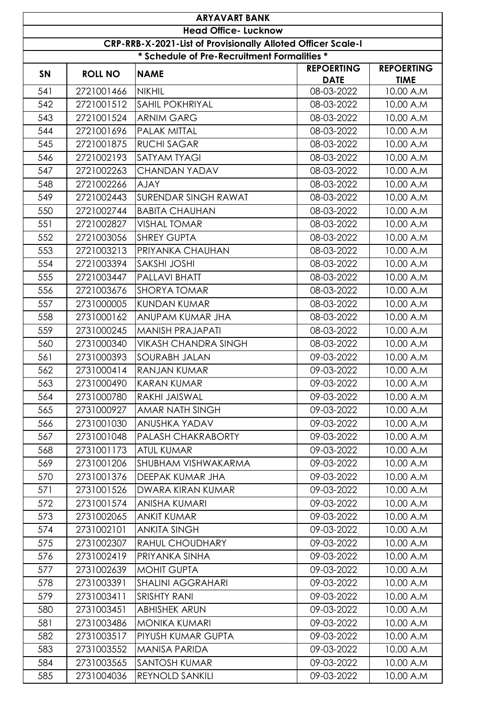|                                                              | <b>ARYAVART BANK</b>                        |                             |                                  |                                  |  |  |  |
|--------------------------------------------------------------|---------------------------------------------|-----------------------------|----------------------------------|----------------------------------|--|--|--|
|                                                              | <b>Head Office- Lucknow</b>                 |                             |                                  |                                  |  |  |  |
| CRP-RRB-X-2021-List of Provisionally Alloted Officer Scale-I |                                             |                             |                                  |                                  |  |  |  |
|                                                              | * Schedule of Pre-Recruitment Formalities * |                             |                                  |                                  |  |  |  |
| SN                                                           | <b>ROLL NO</b>                              | <b>NAME</b>                 | <b>REPOERTING</b><br><b>DATE</b> | <b>REPOERTING</b><br><b>TIME</b> |  |  |  |
| 541                                                          | 2721001466                                  | <b>NIKHIL</b>               | 08-03-2022                       | 10.00 A.M                        |  |  |  |
| 542                                                          | 2721001512                                  | <b>SAHIL POKHRIYAL</b>      | 08-03-2022                       | 10.00 A.M                        |  |  |  |
| 543                                                          | 2721001524                                  | <b>ARNIM GARG</b>           | 08-03-2022                       | 10.00 A.M                        |  |  |  |
| 544                                                          | 2721001696                                  | <b>PALAK MITTAL</b>         | 08-03-2022                       | 10.00 A.M                        |  |  |  |
| 545                                                          | 2721001875                                  | <b>RUCHI SAGAR</b>          | 08-03-2022                       | 10.00 A.M                        |  |  |  |
| 546                                                          | 2721002193                                  | <b>SATYAM TYAGI</b>         | 08-03-2022                       | 10.00 A.M                        |  |  |  |
| 547                                                          | 2721002263                                  | <b>CHANDAN YADAV</b>        | 08-03-2022                       | 10.00 A.M                        |  |  |  |
| 548                                                          | 2721002266                                  | <b>AJAY</b>                 | 08-03-2022                       | 10.00 A.M                        |  |  |  |
| 549                                                          | 2721002443                                  | <b>SURENDAR SINGH RAWAT</b> | 08-03-2022                       | 10.00 A.M                        |  |  |  |
| 550                                                          | 2721002744                                  | <b>BABITA CHAUHAN</b>       | 08-03-2022                       | 10.00 A.M                        |  |  |  |
| 551                                                          | 2721002827                                  | <b>VISHAL TOMAR</b>         | 08-03-2022                       | 10.00 A.M                        |  |  |  |
| 552                                                          | 2721003056                                  | <b>SHREY GUPTA</b>          | 08-03-2022                       | 10.00 A.M                        |  |  |  |
| 553                                                          | 2721003213                                  | PRIYANKA CHAUHAN            | 08-03-2022                       | 10.00 A.M                        |  |  |  |
| 554                                                          | 2721003394                                  | SAKSHI JOSHI                | 08-03-2022                       | 10.00 A.M                        |  |  |  |
| 555                                                          | 2721003447                                  | PALLAVI BHATT               | 08-03-2022                       | 10.00 A.M                        |  |  |  |
| 556                                                          | 2721003676                                  | <b>SHORYA TOMAR</b>         | 08-03-2022                       | 10.00 A.M                        |  |  |  |
| 557                                                          | 2731000005                                  | <b>KUNDAN KUMAR</b>         | 08-03-2022                       | 10.00 A.M                        |  |  |  |
| 558                                                          | 2731000162                                  | ANUPAM KUMAR JHA            | 08-03-2022                       | 10.00 A.M                        |  |  |  |
| 559                                                          | 2731000245                                  | MANISH PRAJAPATI            | 08-03-2022                       | 10.00 A.M                        |  |  |  |
| 560                                                          | 2731000340                                  | <b>VIKASH CHANDRA SINGH</b> | 08-03-2022                       | 10.00 A.M                        |  |  |  |
| 561                                                          | 2731000393                                  | <b>SOURABH JALAN</b>        | 09-03-2022                       | 10.00 A.M                        |  |  |  |
| 562                                                          | 2731000414                                  | <b>RANJAN KUMAR</b>         | 09-03-2022                       | 10.00 A.M                        |  |  |  |
| 563                                                          | 2731000490                                  | KARAN KUMAR                 | 09-03-2022                       | 10.00 A.M                        |  |  |  |
| 564                                                          | 2731000780                                  | RAKHI JAISWAL               | 09-03-2022                       | 10.00 A.M                        |  |  |  |
| 565                                                          | 2731000927                                  | AMAR NATH SINGH             | 09-03-2022                       | 10.00 A.M                        |  |  |  |
| 566                                                          | 2731001030                                  | ANUSHKA YADAV               | 09-03-2022                       | 10.00 A.M                        |  |  |  |
| 567                                                          | 2731001048                                  | PALASH CHAKRABORTY          | 09-03-2022                       | 10.00 A.M                        |  |  |  |
| 568                                                          | 2731001173                                  | <b>ATUL KUMAR</b>           | 09-03-2022                       | 10.00 A.M                        |  |  |  |
| 569                                                          | 2731001206                                  | SHUBHAM VISHWAKARMA         | 09-03-2022                       | 10.00 A.M                        |  |  |  |
| 570                                                          | 2731001376                                  | DEEPAK KUMAR JHA            | 09-03-2022                       | 10.00 A.M                        |  |  |  |
| 571                                                          | 2731001526                                  | DWARA KIRAN KUMAR           | 09-03-2022                       | 10.00 A.M                        |  |  |  |
| 572                                                          | 2731001574                                  | ANISHA KUMARI               | 09-03-2022                       | 10.00 A.M                        |  |  |  |
| 573                                                          | 2731002065                                  | <b>ANKIT KUMAR</b>          | 09-03-2022                       | 10.00 A.M                        |  |  |  |
| 574                                                          | 2731002101                                  | <b>ANKITA SINGH</b>         | 09-03-2022                       | 10.00 A.M                        |  |  |  |
| 575                                                          | 2731002307                                  | RAHUL CHOUDHARY             | 09-03-2022                       | 10.00 A.M                        |  |  |  |
| 576                                                          | 2731002419                                  | PRIYANKA SINHA              | 09-03-2022                       | 10.00 A.M                        |  |  |  |
| 577                                                          | 2731002639                                  | <b>MOHIT GUPTA</b>          | 09-03-2022                       | 10.00 A.M                        |  |  |  |
| 578                                                          | 2731003391                                  | <b>SHALINI AGGRAHARI</b>    | 09-03-2022                       | 10.00 A.M                        |  |  |  |
| 579                                                          | 2731003411                                  | <b>SRISHTY RANI</b>         | 09-03-2022                       | 10.00 A.M                        |  |  |  |
| 580                                                          | 2731003451                                  | <b>ABHISHEK ARUN</b>        | 09-03-2022                       | 10.00 A.M                        |  |  |  |
| 581                                                          | 2731003486                                  | <b>MONIKA KUMARI</b>        | 09-03-2022                       | 10.00 A.M                        |  |  |  |
| 582                                                          | 2731003517                                  | PIYUSH KUMAR GUPTA          | 09-03-2022                       | 10.00 A.M                        |  |  |  |
| 583                                                          | 2731003552                                  | <b>MANISA PARIDA</b>        | 09-03-2022                       | 10.00 A.M                        |  |  |  |
| 584                                                          | 2731003565                                  | <b>SANTOSH KUMAR</b>        | 09-03-2022                       | 10.00 A.M                        |  |  |  |
| 585                                                          | 2731004036                                  | REYNOLD SANKILI             | 09-03-2022                       | 10.00 A.M                        |  |  |  |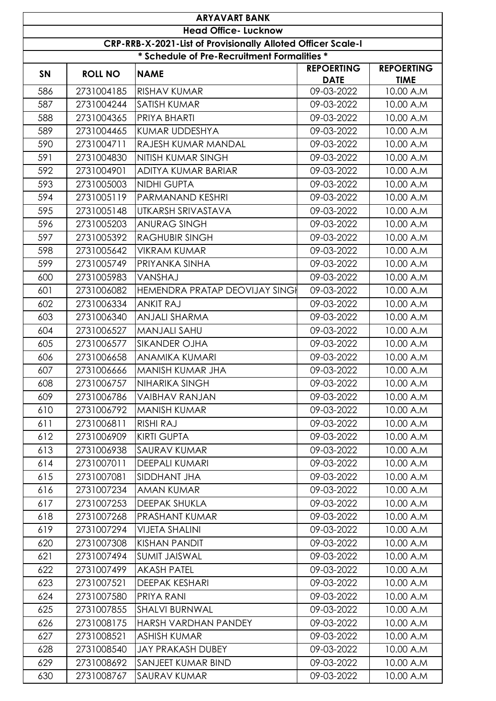|           | <b>ARYAVART BANK</b>                                                                        |                                |                                  |                                  |  |  |  |
|-----------|---------------------------------------------------------------------------------------------|--------------------------------|----------------------------------|----------------------------------|--|--|--|
|           | <b>Head Office- Lucknow</b><br>CRP-RRB-X-2021-List of Provisionally Alloted Officer Scale-I |                                |                                  |                                  |  |  |  |
|           |                                                                                             |                                |                                  |                                  |  |  |  |
|           | * Schedule of Pre-Recruitment Formalities *                                                 |                                |                                  |                                  |  |  |  |
| <b>SN</b> | <b>ROLL NO</b>                                                                              | <b>NAME</b>                    | <b>REPOERTING</b><br><b>DATE</b> | <b>REPOERTING</b><br><b>TIME</b> |  |  |  |
| 586       | 2731004185                                                                                  | <b>RISHAV KUMAR</b>            | 09-03-2022                       | 10.00 A.M                        |  |  |  |
| 587       | 2731004244                                                                                  | <b>SATISH KUMAR</b>            | 09-03-2022                       | 10.00 A.M                        |  |  |  |
| 588       | 2731004365                                                                                  | PRIYA BHARTI                   | 09-03-2022                       | 10.00 A.M                        |  |  |  |
| 589       | 2731004465                                                                                  | <b>KUMAR UDDESHYA</b>          | 09-03-2022                       | 10.00 A.M                        |  |  |  |
| 590       | 2731004711                                                                                  | RAJESH KUMAR MANDAL            | 09-03-2022                       | 10.00 A.M                        |  |  |  |
| 591       | 2731004830                                                                                  | <b>NITISH KUMAR SINGH</b>      | 09-03-2022                       | 10.00 A.M                        |  |  |  |
| 592       | 2731004901                                                                                  | ADITYA KUMAR BARIAR            | 09-03-2022                       | 10.00 A.M                        |  |  |  |
| 593       | 2731005003                                                                                  | <b>NIDHI GUPTA</b>             | 09-03-2022                       | 10.00 A.M                        |  |  |  |
| 594       | 2731005119                                                                                  | PARMANAND KESHRI               | 09-03-2022                       | 10.00 A.M                        |  |  |  |
| 595       | 2731005148                                                                                  | UTKARSH SRIVASTAVA             | 09-03-2022                       | 10.00 A.M                        |  |  |  |
| 596       | 2731005203                                                                                  | <b>ANURAG SINGH</b>            | 09-03-2022                       | 10.00 A.M                        |  |  |  |
| 597       | 2731005392                                                                                  | <b>RAGHUBIR SINGH</b>          | 09-03-2022                       | 10.00 A.M                        |  |  |  |
| 598       | 2731005642                                                                                  | <b>VIKRAM KUMAR</b>            | 09-03-2022                       | 10.00 A.M                        |  |  |  |
| 599       | 2731005749                                                                                  | PRIYANKA SINHA                 | 09-03-2022                       | 10.00 A.M                        |  |  |  |
| 600       | 2731005983                                                                                  | VANSHAJ                        | 09-03-2022                       | 10.00 A.M                        |  |  |  |
| 601       | 2731006082                                                                                  | HEMENDRA PRATAP DEOVIJAY SINGI | 09-03-2022                       | 10.00 A.M                        |  |  |  |
| 602       | 2731006334                                                                                  | <b>ANKIT RAJ</b>               | 09-03-2022                       | 10.00 A.M                        |  |  |  |
| 603       | 2731006340                                                                                  | <b>ANJALI SHARMA</b>           | 09-03-2022                       | 10.00 A.M                        |  |  |  |
| 604       | 2731006527                                                                                  | <b>MANJALI SAHU</b>            | 09-03-2022                       | 10.00 A.M                        |  |  |  |
| 605       | 2731006577                                                                                  | <b>SIKANDER OJHA</b>           | 09-03-2022                       | 10.00 A.M                        |  |  |  |
| 606       | 2731006658                                                                                  | <b>ANAMIKA KUMARI</b>          | 09-03-2022                       | 10.00 A.M                        |  |  |  |
| 607       | 2731006666                                                                                  | MANISH KUMAR JHA               | 09-03-2022                       | 10.00 A.M                        |  |  |  |
| 608       | 2731006757                                                                                  | NIHARIKA SINGH                 | 09-03-2022                       | 10.00 A.M                        |  |  |  |
| 609       | 2731006786                                                                                  | <b>VAIBHAV RANJAN</b>          | 09-03-2022                       | 10.00 A.M                        |  |  |  |
| 610       | 2731006792                                                                                  | MANISH KUMAR                   | 09-03-2022                       | 10.00 A.M                        |  |  |  |
| 611       | 2731006811                                                                                  | <b>RISHI RAJ</b>               | 09-03-2022                       | 10.00 A.M                        |  |  |  |
| 612       | 2731006909                                                                                  | <b>KIRTI GUPTA</b>             | 09-03-2022                       | 10.00 A.M                        |  |  |  |
| 613       | 2731006938                                                                                  | <b>SAURAV KUMAR</b>            | 09-03-2022                       | 10.00 A.M                        |  |  |  |
| 614       | 2731007011                                                                                  | <b>DEEPALI KUMARI</b>          | 09-03-2022                       | 10.00 A.M                        |  |  |  |
| 615       | 2731007081                                                                                  | SIDDHANT JHA                   | 09-03-2022                       | 10.00 A.M                        |  |  |  |
| 616       | 2731007234                                                                                  | AMAN KUMAR                     | 09-03-2022                       | 10.00 A.M                        |  |  |  |
| 617       | 2731007253                                                                                  | <b>DEEPAK SHUKLA</b>           | 09-03-2022                       | 10.00 A.M                        |  |  |  |
| 618       | 2731007268                                                                                  | <b>PRASHANT KUMAR</b>          | 09-03-2022                       | 10.00 A.M                        |  |  |  |
| 619       | 2731007294                                                                                  | <b>VIJETA SHALINI</b>          | 09-03-2022                       | 10.00 A.M                        |  |  |  |
| 620       | 2731007308                                                                                  | <b>KISHAN PANDIT</b>           | 09-03-2022                       | 10.00 A.M                        |  |  |  |
| 621       | 2731007494                                                                                  | <b>SUMIT JAISWAL</b>           | 09-03-2022                       | 10.00 A.M                        |  |  |  |
| 622       | 2731007499                                                                                  | <b>AKASH PATEL</b>             | 09-03-2022                       | 10.00 A.M                        |  |  |  |
| 623       | 2731007521                                                                                  | <b>DEEPAK KESHARI</b>          | 09-03-2022                       | 10.00 A.M                        |  |  |  |
| 624       | 2731007580                                                                                  | PRIYA RANI                     | 09-03-2022                       | 10.00 A.M                        |  |  |  |
| 625       | 2731007855                                                                                  | <b>SHALVI BURNWAL</b>          | 09-03-2022                       | 10.00 A.M                        |  |  |  |
| 626       | 2731008175                                                                                  | HARSH VARDHAN PANDEY           | 09-03-2022                       | 10.00 A.M                        |  |  |  |
| 627       | 2731008521                                                                                  | <b>ASHISH KUMAR</b>            | 09-03-2022                       | 10.00 A.M                        |  |  |  |
| 628       | 2731008540                                                                                  | <b>JAY PRAKASH DUBEY</b>       | 09-03-2022                       | 10.00 A.M                        |  |  |  |
| 629       | 2731008692                                                                                  | <b>SANJEET KUMAR BIND</b>      | 09-03-2022                       | 10.00 A.M                        |  |  |  |
| 630       | 2731008767                                                                                  | <b>SAURAV KUMAR</b>            | 09-03-2022                       | 10.00 A.M                        |  |  |  |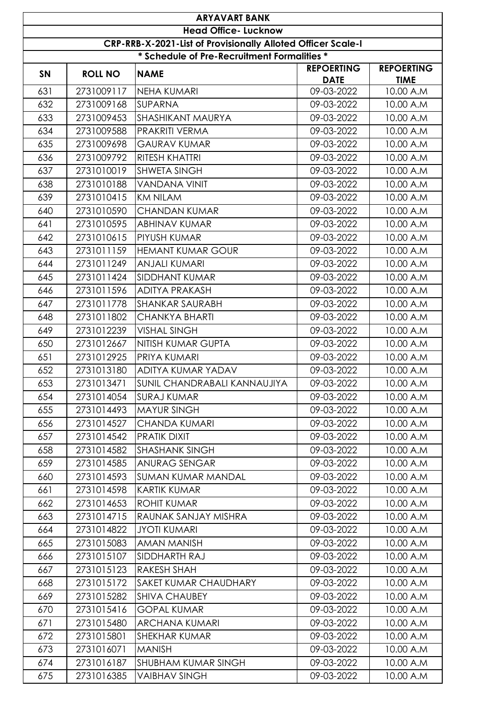|                                                                     |                | <b>ARYAVART BANK</b><br><b>Head Office- Lucknow</b> |                                  |                                  |  |
|---------------------------------------------------------------------|----------------|-----------------------------------------------------|----------------------------------|----------------------------------|--|
| <b>CRP-RRB-X-2021-List of Provisionally Alloted Officer Scale-I</b> |                |                                                     |                                  |                                  |  |
| * Schedule of Pre-Recruitment Formalities *                         |                |                                                     |                                  |                                  |  |
| <b>SN</b>                                                           | <b>ROLL NO</b> | <b>NAME</b>                                         | <b>REPOERTING</b><br><b>DATE</b> | <b>REPOERTING</b><br><b>TIME</b> |  |
| 631                                                                 | 2731009117     | NEHA KUMARI                                         | 09-03-2022                       | 10.00 A.M                        |  |
| 632                                                                 | 2731009168     | <b>SUPARNA</b>                                      | 09-03-2022                       | 10.00 A.M                        |  |
| 633                                                                 | 2731009453     | <b>SHASHIKANT MAURYA</b>                            | 09-03-2022                       | 10.00 A.M                        |  |
| 634                                                                 | 2731009588     | <b>PRAKRITI VERMA</b>                               | 09-03-2022                       | 10.00 A.M                        |  |
| 635                                                                 | 2731009698     | <b>GAURAV KUMAR</b>                                 | 09-03-2022                       | 10.00 A.M                        |  |
| 636                                                                 | 2731009792     | <b>RITESH KHATTRI</b>                               | 09-03-2022                       | 10.00 A.M                        |  |
| 637                                                                 | 2731010019     | <b>SHWETA SINGH</b>                                 | 09-03-2022                       | 10.00 A.M                        |  |
| 638                                                                 | 2731010188     | <b>VANDANA VINIT</b>                                | 09-03-2022                       | 10.00 A.M                        |  |
| 639                                                                 | 2731010415     | <b>KM NILAM</b>                                     | 09-03-2022                       | 10.00 A.M                        |  |
| 640                                                                 | 2731010590     | <b>CHANDAN KUMAR</b>                                | 09-03-2022                       | 10.00 A.M                        |  |
| 641                                                                 | 2731010595     | ABHINAV KUMAR                                       | 09-03-2022                       | 10.00 A.M                        |  |
| 642                                                                 | 2731010615     | PIYUSH KUMAR                                        | 09-03-2022                       | 10.00 A.M                        |  |
| 643                                                                 | 2731011159     | <b>HEMANT KUMAR GOUR</b>                            | 09-03-2022                       | 10.00 A.M                        |  |
| 644                                                                 | 2731011249     | <b>ANJALI KUMARI</b>                                | 09-03-2022                       | 10.00 A.M                        |  |
| 645                                                                 | 2731011424     | <b>SIDDHANT KUMAR</b>                               | 09-03-2022                       | 10.00 A.M                        |  |
| 646                                                                 | 2731011596     | <b>ADITYA PRAKASH</b>                               | 09-03-2022                       | 10.00 A.M                        |  |
| 647                                                                 | 2731011778     | SHANKAR SAURABH                                     | 09-03-2022                       | 10.00 A.M                        |  |
| 648                                                                 | 2731011802     | <b>CHANKYA BHARTI</b>                               | 09-03-2022                       | 10.00 A.M                        |  |
| 649                                                                 | 2731012239     | <b>VISHAL SINGH</b>                                 | 09-03-2022                       | 10.00 A.M                        |  |
| 650                                                                 | 2731012667     | NITISH KUMAR GUPTA                                  | 09-03-2022                       | 10.00 A.M                        |  |
| 651                                                                 | 2731012925     | <b>PRIYA KUMARI</b>                                 | 09-03-2022                       | 10.00 A.M                        |  |
| 652                                                                 | 2731013180     | ADITYA KUMAR YADAV                                  | 09-03-2022                       | 10.00 A.M                        |  |
| 653                                                                 | 2731013471     | SUNIL CHANDRABALI KANNAUJIYA                        | 09-03-2022                       | 10.00 A.M                        |  |
| 654                                                                 | 2731014054     | <b>SURAJ KUMAR</b>                                  | 09-03-2022                       | 10.00 A.M                        |  |
| 655                                                                 | 2731014493     | <b>MAYUR SINGH</b>                                  | 09-03-2022                       | 10.00 A.M                        |  |
| 656                                                                 | 2731014527     | CHANDA KUMARI                                       | 09-03-2022                       | 10.00 A.M                        |  |
| 657                                                                 | 2731014542     | <b>PRATIK DIXIT</b>                                 | 09-03-2022                       | 10.00 A.M                        |  |
| 658                                                                 | 2731014582     | <b>SHASHANK SINGH</b>                               | 09-03-2022                       | 10.00 A.M                        |  |
| 659                                                                 | 2731014585     | <b>ANURAG SENGAR</b>                                | 09-03-2022                       | 10.00 A.M                        |  |
| 660                                                                 | 2731014593     | <b>SUMAN KUMAR MANDAL</b>                           | 09-03-2022                       | 10.00 A.M                        |  |
| 661                                                                 | 2731014598     | <b>KARTIK KUMAR</b>                                 | 09-03-2022                       | 10.00 A.M                        |  |
| 662                                                                 | 2731014653     | <b>ROHIT KUMAR</b>                                  | 09-03-2022                       | 10.00 A.M                        |  |
| 663                                                                 | 2731014715     | RAUNAK SANJAY MISHRA                                | 09-03-2022                       | 10.00 A.M                        |  |
| 664                                                                 | 2731014822     | <b>JYOTI KUMARI</b>                                 | 09-03-2022                       | 10.00 A.M                        |  |
| 665                                                                 | 2731015083     | AMAN MANISH                                         | 09-03-2022                       | 10.00 A.M                        |  |
| 666                                                                 | 2731015107     | SIDDHARTH RAJ                                       | 09-03-2022                       | 10.00 A.M                        |  |
| 667                                                                 | 2731015123     | RAKESH SHAH                                         | 09-03-2022                       | 10.00 A.M                        |  |
| 668                                                                 | 2731015172     | SAKET KUMAR CHAUDHARY                               | 09-03-2022                       | 10.00 A.M                        |  |
| 669                                                                 | 2731015282     | <b>SHIVA CHAUBEY</b>                                | 09-03-2022                       | 10.00 A.M                        |  |
| 670                                                                 | 2731015416     | <b>GOPAL KUMAR</b>                                  | 09-03-2022                       | 10.00 A.M                        |  |
| 671                                                                 | 2731015480     | <b>ARCHANA KUMARI</b>                               | 09-03-2022                       | 10.00 A.M                        |  |
| 672                                                                 | 2731015801     | SHEKHAR KUMAR                                       | 09-03-2022                       | 10.00 A.M                        |  |
| 673                                                                 | 2731016071     | <b>MANISH</b>                                       | 09-03-2022                       | 10.00 A.M                        |  |
| 674                                                                 | 2731016187     | SHUBHAM KUMAR SINGH                                 | 09-03-2022                       | 10.00 A.M                        |  |
| 675                                                                 | 2731016385     | <b>VAIBHAV SINGH</b>                                | 09-03-2022                       | 10.00 A.M                        |  |